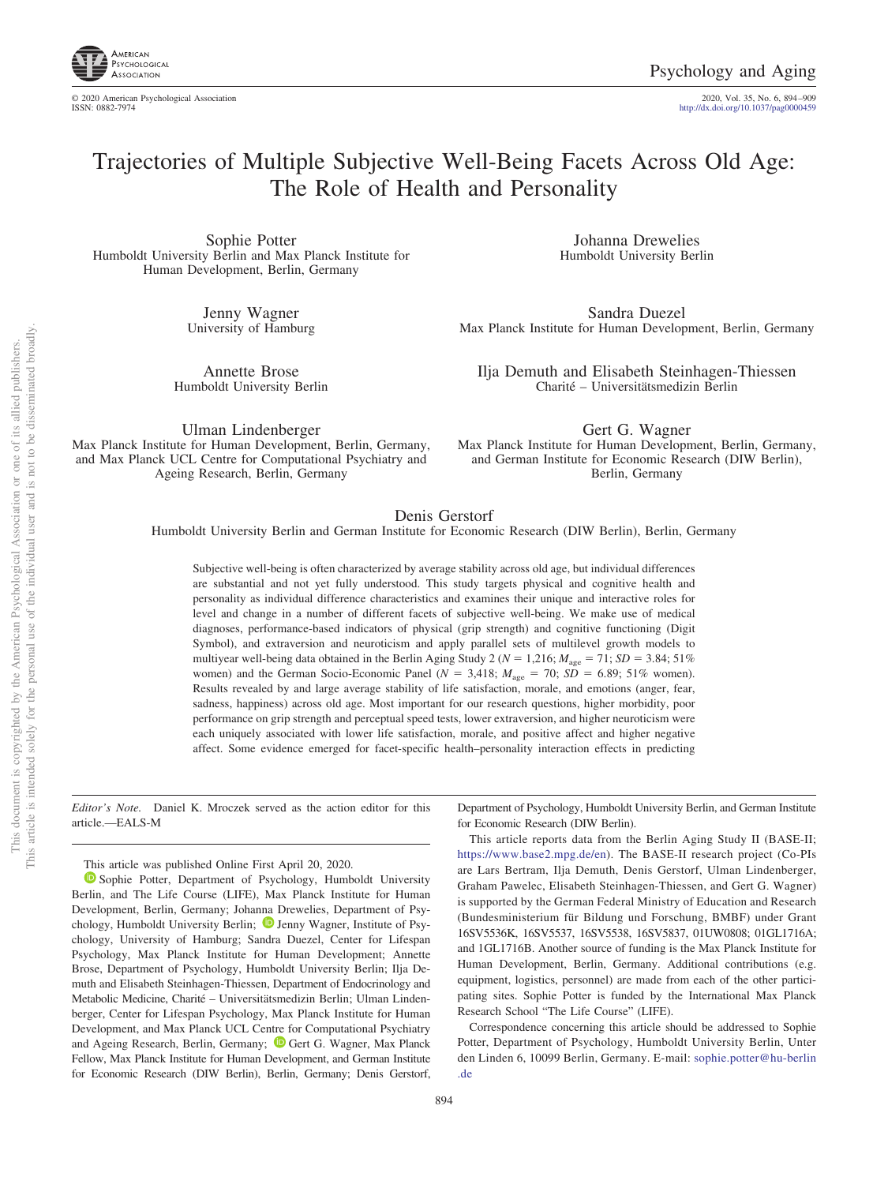

© 2020 American Psychological Association 2020, Vol. 35, No. 6, 894 –909

http://dx.doi.org[/10.1037/pag0000459](http://dx.doi.org/10.1037/pag0000459)

# Trajectories of Multiple Subjective Well-Being Facets Across Old Age: The Role of Health and Personality

Sophie Potter Humboldt University Berlin and Max Planck Institute for Human Development, Berlin, Germany

> Jenny Wagner University of Hamburg

Annette Brose Humboldt University Berlin

Johanna Drewelies Humboldt University Berlin

Sandra Duezel Max Planck Institute for Human Development, Berlin, Germany

Ilja Demuth and Elisabeth Steinhagen-Thiessen Charité – Universitätsmedizin Berlin

Ulman Lindenberger Max Planck Institute for Human Development, Berlin, Germany, and Max Planck UCL Centre for Computational Psychiatry and Ageing Research, Berlin, Germany

Gert G. Wagner Max Planck Institute for Human Development, Berlin, Germany, and German Institute for Economic Research (DIW Berlin), Berlin, Germany

Department of Psychology, Humboldt University Berlin, and German Institute

This article reports data from the Berlin Aging Study II (BASE-II; [https://www.base2.mpg.de/en\)](https://www.base2.mpg.de/en). The BASE-II research project (Co-PIs are Lars Bertram, Ilja Demuth, Denis Gerstorf, Ulman Lindenberger, Graham Pawelec, Elisabeth Steinhagen-Thiessen, and Gert G. Wagner) is supported by the German Federal Ministry of Education and Research (Bundesministerium für Bildung und Forschung, BMBF) under Grant 16SV5536K, 16SV5537, 16SV5538, 16SV5837, 01UW0808; 01GL1716A; and 1GL1716B. Another source of funding is the Max Planck Institute for Human Development, Berlin, Germany. Additional contributions (e.g. equipment, logistics, personnel) are made from each of the other participating sites. Sophie Potter is funded by the International Max Planck

Correspondence concerning this article should be addressed to Sophie Potter, Department of Psychology, Humboldt University Berlin, Unter den Linden 6, 10099 Berlin, Germany. E-mail: [sophie.potter@hu-berlin](mailto:sophie.potter@hu-berlin.de)

for Economic Research (DIW Berlin).

Research School "The Life Course" (LIFE).

## Denis Gerstorf

Humboldt University Berlin and German Institute for Economic Research (DIW Berlin), Berlin, Germany

Subjective well-being is often characterized by average stability across old age, but individual differences are substantial and not yet fully understood. This study targets physical and cognitive health and personality as individual difference characteristics and examines their unique and interactive roles for level and change in a number of different facets of subjective well-being. We make use of medical diagnoses, performance-based indicators of physical (grip strength) and cognitive functioning (Digit Symbol), and extraversion and neuroticism and apply parallel sets of multilevel growth models to multiyear well-being data obtained in the Berlin Aging Study 2 ( $N = 1,216$ ;  $M_{\text{age}} = 71$ ;  $SD = 3.84$ ; 51% women) and the German Socio-Economic Panel ( $N = 3,418$ ;  $M_{\text{age}} = 70$ ;  $SD = 6.89$ ; 51% women). Results revealed by and large average stability of life satisfaction, morale, and emotions (anger, fear, sadness, happiness) across old age. Most important for our research questions, higher morbidity, poor performance on grip strength and perceptual speed tests, lower extraversion, and higher neuroticism were each uniquely associated with lower life satisfaction, morale, and positive affect and higher negative affect. Some evidence emerged for facet-specific health–personality interaction effects in predicting

*Editor's Note.* Daniel K. Mroczek served as the action editor for this article.—EALS-M

This article was published Online First April 20, 2020.

<sup>1</sup> [Sophie Potter,](https://orcid.org/0000-0003-3497-6469) Department of Psychology, Humboldt University Berlin, and The Life Course (LIFE), Max Planck Institute for Human Development, Berlin, Germany; Johanna Drewelies, Department of Psychology, Humboldt University Berlin;  $\bullet$  [Jenny Wagner,](https://orcid.org/0000-0001-7507-9620) Institute of Psychology, University of Hamburg; Sandra Duezel, Center for Lifespan Psychology, Max Planck Institute for Human Development; Annette Brose, Department of Psychology, Humboldt University Berlin; Ilja Demuth and Elisabeth Steinhagen-Thiessen, Department of Endocrinology and Metabolic Medicine, Charité – Universitätsmedizin Berlin; Ulman Lindenberger, Center for Lifespan Psychology, Max Planck Institute for Human Development, and Max Planck UCL Centre for Computational Psychiatry and Ageing Research, Berlin, Germany; <sup>1</sup> [Gert G. Wagner,](https://orcid.org/0000-0002-5985-4073) Max Planck Fellow, Max Planck Institute for Human Development, and German Institute for Economic Research (DIW Berlin), Berlin, Germany; Denis Gerstorf,

not to be disseminated broadly one of its allied publishers.

 $\overleftarrow{\mathrm{O}}$  $\widetilde{\Xi}$ 

[.de](mailto:sophie.potter@hu-berlin.de)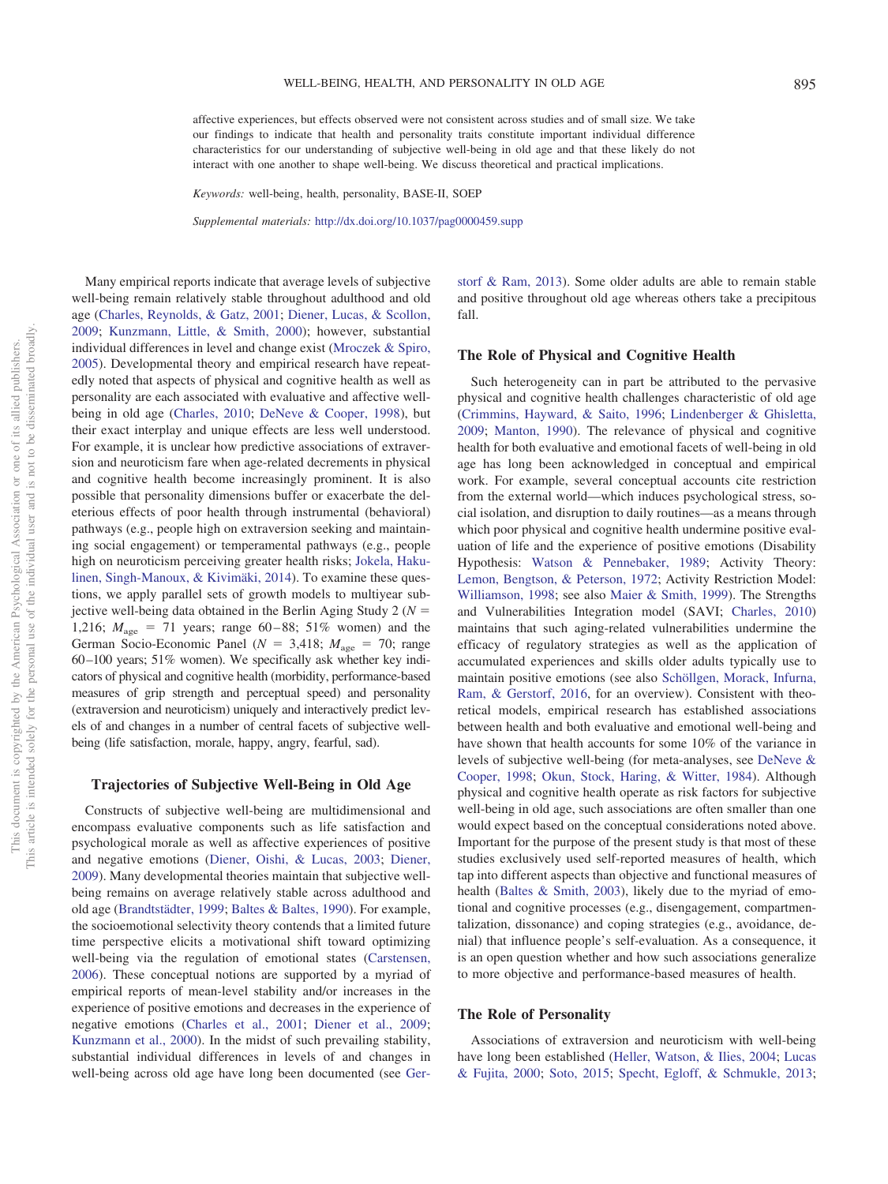affective experiences, but effects observed were not consistent across studies and of small size. We take our findings to indicate that health and personality traits constitute important individual difference characteristics for our understanding of subjective well-being in old age and that these likely do not interact with one another to shape well-being. We discuss theoretical and practical implications.

*Keywords:* well-being, health, personality, BASE-II, SOEP

*Supplemental materials:* http://dx.doi.org/10.1037/pag0000459.supp

Many empirical reports indicate that average levels of subjective well-being remain relatively stable throughout adulthood and old age [\(Charles, Reynolds, & Gatz, 2001;](#page-12-0) [Diener, Lucas, & Scollon,](#page-13-0) [2009;](#page-13-0) [Kunzmann, Little, & Smith, 2000\)](#page-14-0); however, substantial individual differences in level and change exist [\(Mroczek & Spiro,](#page-14-1) [2005\)](#page-14-1). Developmental theory and empirical research have repeatedly noted that aspects of physical and cognitive health as well as personality are each associated with evaluative and affective wellbeing in old age [\(Charles, 2010;](#page-12-1) [DeNeve & Cooper, 1998\)](#page-13-1), but their exact interplay and unique effects are less well understood. For example, it is unclear how predictive associations of extraversion and neuroticism fare when age-related decrements in physical and cognitive health become increasingly prominent. It is also possible that personality dimensions buffer or exacerbate the deleterious effects of poor health through instrumental (behavioral) pathways (e.g., people high on extraversion seeking and maintaining social engagement) or temperamental pathways (e.g., people high on neuroticism perceiving greater health risks; [Jokela, Haku](#page-14-2)[linen, Singh-Manoux, & Kivimäki, 2014\)](#page-14-2). To examine these questions, we apply parallel sets of growth models to multiyear subjective well-being data obtained in the Berlin Aging Study 2 ( $N =$ 1,216;  $M_{\text{age}} = 71$  years; range 60–88; 51% women) and the German Socio-Economic Panel ( $N = 3,418$ ;  $M_{\text{age}} = 70$ ; range 60 –100 years; 51% women). We specifically ask whether key indicators of physical and cognitive health (morbidity, performance-based measures of grip strength and perceptual speed) and personality (extraversion and neuroticism) uniquely and interactively predict levels of and changes in a number of central facets of subjective wellbeing (life satisfaction, morale, happy, angry, fearful, sad).

#### **Trajectories of Subjective Well-Being in Old Age**

Constructs of subjective well-being are multidimensional and encompass evaluative components such as life satisfaction and psychological morale as well as affective experiences of positive and negative emotions [\(Diener, Oishi, & Lucas, 2003;](#page-13-2) [Diener,](#page-13-3) [2009\)](#page-13-3). Many developmental theories maintain that subjective wellbeing remains on average relatively stable across adulthood and old age [\(Brandtstädter, 1999;](#page-12-2) [Baltes & Baltes, 1990\)](#page-12-3). For example, the socioemotional selectivity theory contends that a limited future time perspective elicits a motivational shift toward optimizing well-being via the regulation of emotional states [\(Carstensen,](#page-12-4) [2006\)](#page-12-4). These conceptual notions are supported by a myriad of empirical reports of mean-level stability and/or increases in the experience of positive emotions and decreases in the experience of negative emotions [\(Charles et al., 2001;](#page-12-0) [Diener et al., 2009;](#page-13-0) [Kunzmann et al., 2000\)](#page-14-0). In the midst of such prevailing stability, substantial individual differences in levels of and changes in well-being across old age have long been documented (see [Ger-](#page-13-4) [storf & Ram, 2013\)](#page-13-4). Some older adults are able to remain stable and positive throughout old age whereas others take a precipitous fall.

## **The Role of Physical and Cognitive Health**

Such heterogeneity can in part be attributed to the pervasive physical and cognitive health challenges characteristic of old age [\(Crimmins, Hayward, & Saito, 1996;](#page-13-5) [Lindenberger & Ghisletta,](#page-14-3) [2009;](#page-14-3) [Manton, 1990\)](#page-14-4). The relevance of physical and cognitive health for both evaluative and emotional facets of well-being in old age has long been acknowledged in conceptual and empirical work. For example, several conceptual accounts cite restriction from the external world—which induces psychological stress, social isolation, and disruption to daily routines—as a means through which poor physical and cognitive health undermine positive evaluation of life and the experience of positive emotions (Disability Hypothesis: [Watson & Pennebaker, 1989;](#page-15-0) Activity Theory: [Lemon, Bengtson, & Peterson, 1972;](#page-14-5) Activity Restriction Model: [Williamson, 1998;](#page-15-1) see also [Maier & Smith, 1999\)](#page-14-6). The Strengths and Vulnerabilities Integration model (SAVI; [Charles, 2010\)](#page-12-1) maintains that such aging-related vulnerabilities undermine the efficacy of regulatory strategies as well as the application of accumulated experiences and skills older adults typically use to maintain positive emotions (see also [Schöllgen, Morack, Infurna,](#page-15-2) [Ram, & Gerstorf, 2016,](#page-15-2) for an overview). Consistent with theoretical models, empirical research has established associations between health and both evaluative and emotional well-being and have shown that health accounts for some 10% of the variance in levels of subjective well-being (for meta-analyses, see [DeNeve &](#page-13-1) [Cooper, 1998;](#page-13-1) [Okun, Stock, Haring, & Witter, 1984\)](#page-15-3). Although physical and cognitive health operate as risk factors for subjective well-being in old age, such associations are often smaller than one would expect based on the conceptual considerations noted above. Important for the purpose of the present study is that most of these studies exclusively used self-reported measures of health, which tap into different aspects than objective and functional measures of health [\(Baltes & Smith, 2003\)](#page-12-5), likely due to the myriad of emotional and cognitive processes (e.g., disengagement, compartmentalization, dissonance) and coping strategies (e.g., avoidance, denial) that influence people's self-evaluation. As a consequence, it is an open question whether and how such associations generalize to more objective and performance-based measures of health.

## **The Role of Personality**

Associations of extraversion and neuroticism with well-being have long been established [\(Heller, Watson, & Ilies, 2004;](#page-13-6) [Lucas](#page-14-7) [& Fujita, 2000;](#page-14-7) [Soto, 2015;](#page-15-4) [Specht, Egloff, & Schmukle, 2013;](#page-15-5)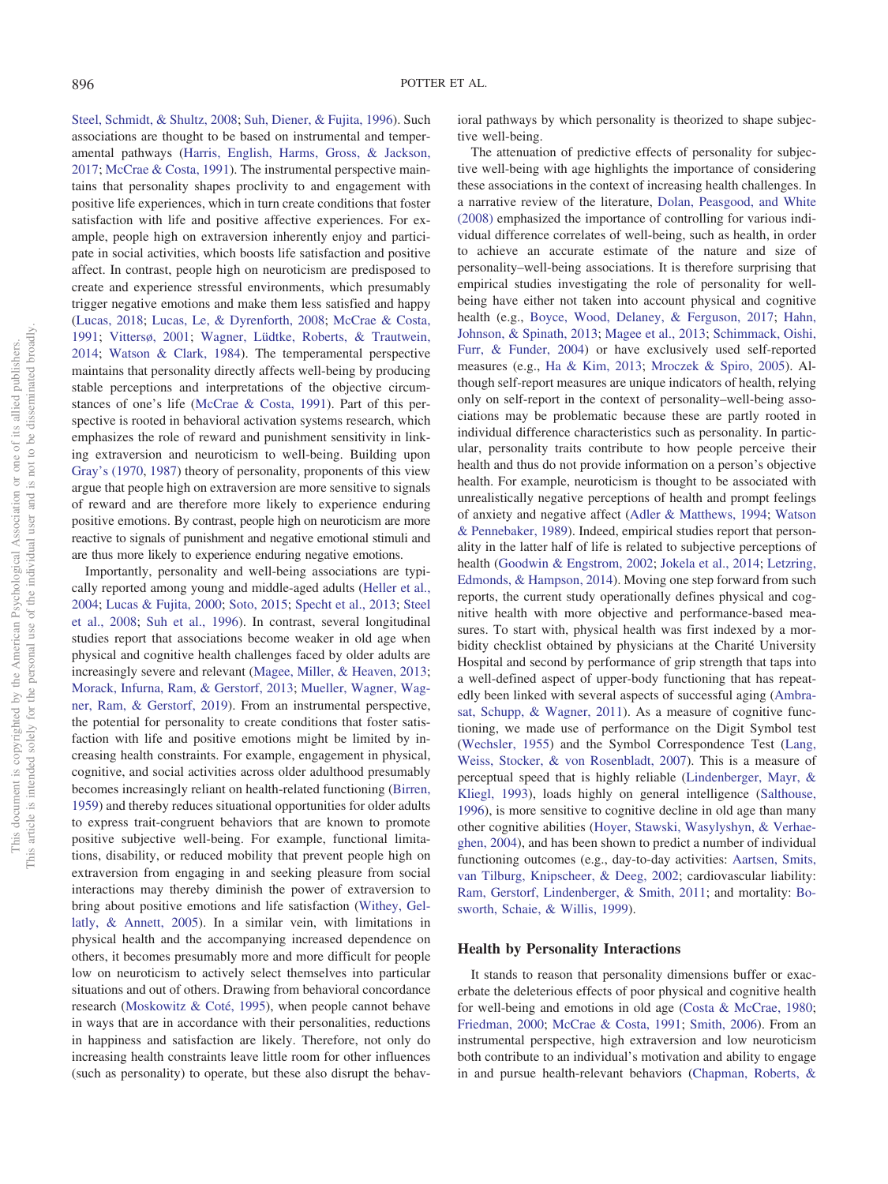[Steel, Schmidt, & Shultz, 2008;](#page-15-6) [Suh, Diener, & Fujita, 1996\)](#page-15-7). Such associations are thought to be based on instrumental and temperamental pathways [\(Harris, English, Harms, Gross, & Jackson,](#page-13-7) [2017;](#page-13-7) [McCrae & Costa, 1991\)](#page-14-8). The instrumental perspective maintains that personality shapes proclivity to and engagement with positive life experiences, which in turn create conditions that foster satisfaction with life and positive affective experiences. For example, people high on extraversion inherently enjoy and participate in social activities, which boosts life satisfaction and positive affect. In contrast, people high on neuroticism are predisposed to create and experience stressful environments, which presumably trigger negative emotions and make them less satisfied and happy [\(Lucas, 2018;](#page-14-9) [Lucas, Le, & Dyrenforth, 2008;](#page-14-10) [McCrae & Costa,](#page-14-8) [1991;](#page-14-8) [Vittersø, 2001;](#page-15-8) [Wagner, Lüdtke, Roberts, & Trautwein,](#page-15-9) [2014;](#page-15-9) [Watson & Clark, 1984\)](#page-15-10). The temperamental perspective maintains that personality directly affects well-being by producing stable perceptions and interpretations of the objective circumstances of one's life [\(McCrae & Costa, 1991\)](#page-14-8). Part of this perspective is rooted in behavioral activation systems research, which emphasizes the role of reward and punishment sensitivity in linking extraversion and neuroticism to well-being. Building upon [Gray's \(1970,](#page-13-8) [1987\)](#page-13-9) theory of personality, proponents of this view argue that people high on extraversion are more sensitive to signals of reward and are therefore more likely to experience enduring positive emotions. By contrast, people high on neuroticism are more reactive to signals of punishment and negative emotional stimuli and are thus more likely to experience enduring negative emotions.

Importantly, personality and well-being associations are typically reported among young and middle-aged adults [\(Heller et al.,](#page-13-6) [2004;](#page-13-6) [Lucas & Fujita, 2000;](#page-14-7) [Soto, 2015;](#page-15-4) [Specht et al., 2013;](#page-15-5) [Steel](#page-15-6) [et al., 2008;](#page-15-6) [Suh et al., 1996\)](#page-15-7). In contrast, several longitudinal studies report that associations become weaker in old age when physical and cognitive health challenges faced by older adults are increasingly severe and relevant [\(Magee, Miller, & Heaven, 2013;](#page-14-11) [Morack, Infurna, Ram, & Gerstorf, 2013;](#page-14-12) [Mueller, Wagner, Wag](#page-15-11)[ner, Ram, & Gerstorf, 2019\)](#page-15-11). From an instrumental perspective, the potential for personality to create conditions that foster satisfaction with life and positive emotions might be limited by increasing health constraints. For example, engagement in physical, cognitive, and social activities across older adulthood presumably becomes increasingly reliant on health-related functioning [\(Birren,](#page-12-6) [1959\)](#page-12-6) and thereby reduces situational opportunities for older adults to express trait-congruent behaviors that are known to promote positive subjective well-being. For example, functional limitations, disability, or reduced mobility that prevent people high on extraversion from engaging in and seeking pleasure from social interactions may thereby diminish the power of extraversion to bring about positive emotions and life satisfaction [\(Withey, Gel](#page-15-12)[latly, & Annett, 2005\)](#page-15-12). In a similar vein, with limitations in physical health and the accompanying increased dependence on others, it becomes presumably more and more difficult for people low on neuroticism to actively select themselves into particular situations and out of others. Drawing from behavioral concordance research [\(Moskowitz & Coté, 1995\)](#page-14-13), when people cannot behave in ways that are in accordance with their personalities, reductions in happiness and satisfaction are likely. Therefore, not only do increasing health constraints leave little room for other influences (such as personality) to operate, but these also disrupt the behavioral pathways by which personality is theorized to shape subjective well-being.

The attenuation of predictive effects of personality for subjective well-being with age highlights the importance of considering these associations in the context of increasing health challenges. In a narrative review of the literature, [Dolan, Peasgood, and White](#page-13-10) [\(2008\)](#page-13-10) emphasized the importance of controlling for various individual difference correlates of well-being, such as health, in order to achieve an accurate estimate of the nature and size of personality–well-being associations. It is therefore surprising that empirical studies investigating the role of personality for wellbeing have either not taken into account physical and cognitive health (e.g., [Boyce, Wood, Delaney, & Ferguson, 2017;](#page-12-7) [Hahn,](#page-13-11) [Johnson, & Spinath, 2013;](#page-13-11) [Magee et al., 2013;](#page-14-11) [Schimmack, Oishi,](#page-15-13) [Furr, & Funder, 2004\)](#page-15-13) or have exclusively used self-reported measures (e.g., [Ha & Kim, 2013;](#page-13-12) [Mroczek & Spiro, 2005\)](#page-14-1). Although self-report measures are unique indicators of health, relying only on self-report in the context of personality–well-being associations may be problematic because these are partly rooted in individual difference characteristics such as personality. In particular, personality traits contribute to how people perceive their health and thus do not provide information on a person's objective health. For example, neuroticism is thought to be associated with unrealistically negative perceptions of health and prompt feelings of anxiety and negative affect [\(Adler & Matthews, 1994;](#page-12-8) [Watson](#page-15-0) [& Pennebaker, 1989\)](#page-15-0). Indeed, empirical studies report that personality in the latter half of life is related to subjective perceptions of health [\(Goodwin & Engstrom, 2002;](#page-13-13) [Jokela et al., 2014;](#page-14-2) [Letzring,](#page-14-14) [Edmonds, & Hampson, 2014\)](#page-14-14). Moving one step forward from such reports, the current study operationally defines physical and cognitive health with more objective and performance-based measures. To start with, physical health was first indexed by a morbidity checklist obtained by physicians at the Charité University Hospital and second by performance of grip strength that taps into a well-defined aspect of upper-body functioning that has repeatedly been linked with several aspects of successful aging [\(Ambra](#page-12-9)[sat, Schupp, & Wagner, 2011\)](#page-12-9). As a measure of cognitive functioning, we made use of performance on the Digit Symbol test [\(Wechsler, 1955\)](#page-15-14) and the Symbol Correspondence Test [\(Lang,](#page-14-15) [Weiss, Stocker, & von Rosenbladt, 2007\)](#page-14-15). This is a measure of perceptual speed that is highly reliable [\(Lindenberger, Mayr, &](#page-14-16) [Kliegl, 1993\)](#page-14-16), loads highly on general intelligence [\(Salthouse,](#page-15-15) [1996\)](#page-15-15), is more sensitive to cognitive decline in old age than many other cognitive abilities [\(Hoyer, Stawski, Wasylyshyn, & Verhae](#page-13-14)[ghen, 2004\)](#page-13-14), and has been shown to predict a number of individual functioning outcomes (e.g., day-to-day activities: [Aartsen, Smits,](#page-12-10) [van Tilburg, Knipscheer, & Deeg, 2002;](#page-12-10) cardiovascular liability: [Ram, Gerstorf, Lindenberger, & Smith, 2011;](#page-15-16) and mortality: [Bo](#page-12-11)[sworth, Schaie, & Willis, 1999\)](#page-12-11).

#### **Health by Personality Interactions**

It stands to reason that personality dimensions buffer or exacerbate the deleterious effects of poor physical and cognitive health for well-being and emotions in old age [\(Costa & McCrae, 1980;](#page-12-12) [Friedman, 2000;](#page-13-15) [McCrae & Costa, 1991;](#page-14-8) [Smith, 2006\)](#page-15-17). From an instrumental perspective, high extraversion and low neuroticism both contribute to an individual's motivation and ability to engage in and pursue health-relevant behaviors [\(Chapman, Roberts, &](#page-12-13)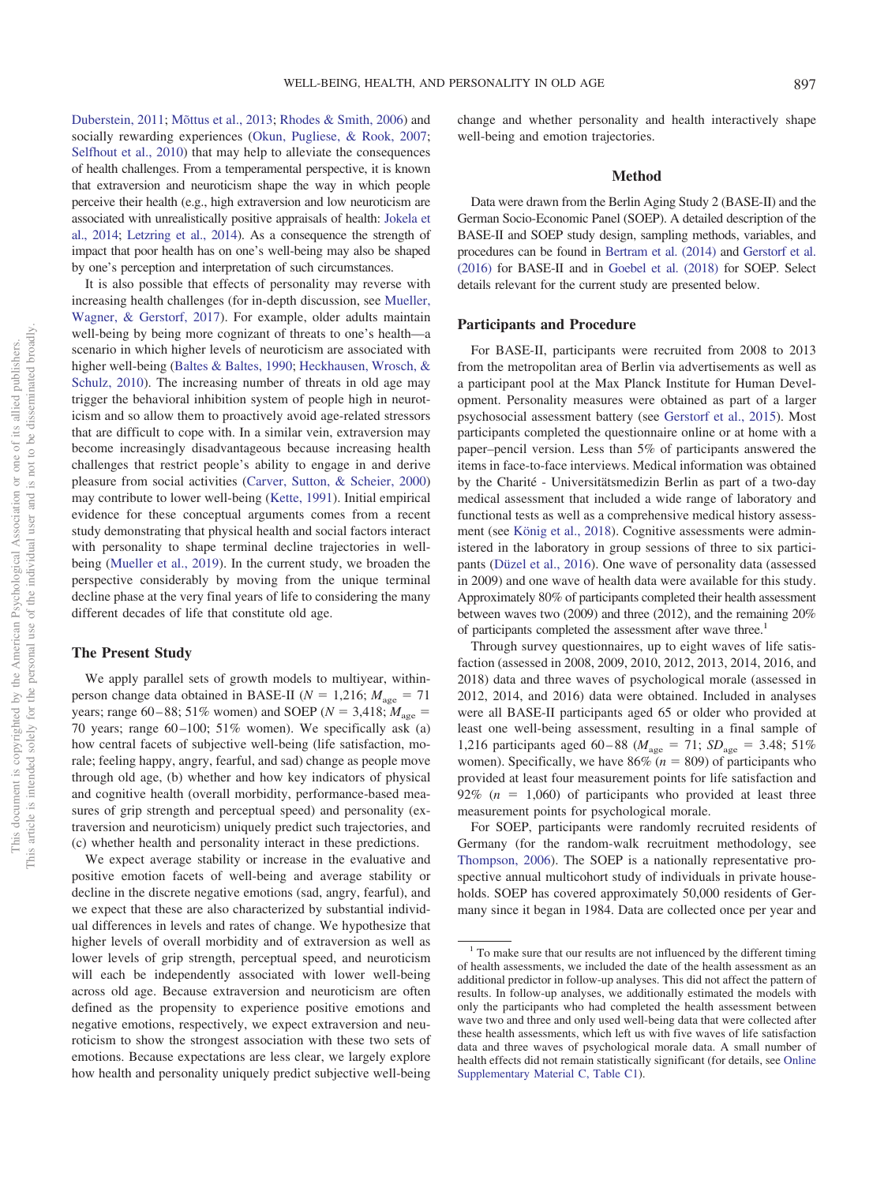[Duberstein, 2011;](#page-12-13) [Mõttus et al., 2013;](#page-14-17) [Rhodes & Smith, 2006\)](#page-15-18) and socially rewarding experiences [\(Okun, Pugliese, & Rook, 2007;](#page-15-19) [Selfhout et al., 2010\)](#page-15-20) that may help to alleviate the consequences of health challenges. From a temperamental perspective, it is known that extraversion and neuroticism shape the way in which people perceive their health (e.g., high extraversion and low neuroticism are associated with unrealistically positive appraisals of health: [Jokela et](#page-14-2) [al., 2014;](#page-14-2) [Letzring et al., 2014\)](#page-14-14). As a consequence the strength of impact that poor health has on one's well-being may also be shaped by one's perception and interpretation of such circumstances.

It is also possible that effects of personality may reverse with increasing health challenges (for in-depth discussion, see [Mueller,](#page-14-18) [Wagner, & Gerstorf, 2017\)](#page-14-18). For example, older adults maintain well-being by being more cognizant of threats to one's health—a scenario in which higher levels of neuroticism are associated with higher well-being [\(Baltes & Baltes, 1990;](#page-12-3) [Heckhausen, Wrosch, &](#page-13-16) [Schulz, 2010\)](#page-13-16). The increasing number of threats in old age may trigger the behavioral inhibition system of people high in neuroticism and so allow them to proactively avoid age-related stressors that are difficult to cope with. In a similar vein, extraversion may become increasingly disadvantageous because increasing health challenges that restrict people's ability to engage in and derive pleasure from social activities [\(Carver, Sutton, & Scheier, 2000\)](#page-12-14) may contribute to lower well-being [\(Kette, 1991\)](#page-14-19). Initial empirical evidence for these conceptual arguments comes from a recent study demonstrating that physical health and social factors interact with personality to shape terminal decline trajectories in wellbeing [\(Mueller et al., 2019\)](#page-15-11). In the current study, we broaden the perspective considerably by moving from the unique terminal decline phase at the very final years of life to considering the many different decades of life that constitute old age.

# **The Present Study**

We apply parallel sets of growth models to multiyear, withinperson change data obtained in BASE-II ( $N = 1,216$ ;  $M_{\text{age}} = 71$ years; range 60–88; 51% women) and SOEP ( $N = 3,418$ ;  $M_{\text{age}} =$ 70 years; range  $60-100$ ; 51% women). We specifically ask (a) how central facets of subjective well-being (life satisfaction, morale; feeling happy, angry, fearful, and sad) change as people move through old age, (b) whether and how key indicators of physical and cognitive health (overall morbidity, performance-based measures of grip strength and perceptual speed) and personality (extraversion and neuroticism) uniquely predict such trajectories, and (c) whether health and personality interact in these predictions.

We expect average stability or increase in the evaluative and positive emotion facets of well-being and average stability or decline in the discrete negative emotions (sad, angry, fearful), and we expect that these are also characterized by substantial individual differences in levels and rates of change. We hypothesize that higher levels of overall morbidity and of extraversion as well as lower levels of grip strength, perceptual speed, and neuroticism will each be independently associated with lower well-being across old age. Because extraversion and neuroticism are often defined as the propensity to experience positive emotions and negative emotions, respectively, we expect extraversion and neuroticism to show the strongest association with these two sets of emotions. Because expectations are less clear, we largely explore how health and personality uniquely predict subjective well-being

change and whether personality and health interactively shape well-being and emotion trajectories.

#### **Method**

Data were drawn from the Berlin Aging Study 2 (BASE-II) and the German Socio-Economic Panel (SOEP). A detailed description of the BASE-II and SOEP study design, sampling methods, variables, and procedures can be found in [Bertram et al. \(2014\)](#page-12-15) and [Gerstorf et al.](#page-13-17) [\(2016\)](#page-13-17) for BASE-II and in [Goebel et al. \(2018\)](#page-13-18) for SOEP. Select details relevant for the current study are presented below.

## **Participants and Procedure**

For BASE-II, participants were recruited from 2008 to 2013 from the metropolitan area of Berlin via advertisements as well as a participant pool at the Max Planck Institute for Human Development. Personality measures were obtained as part of a larger psychosocial assessment battery (see [Gerstorf et al., 2015\)](#page-13-19). Most participants completed the questionnaire online or at home with a paper–pencil version. Less than 5% of participants answered the items in face-to-face interviews. Medical information was obtained by the Charité - Universitätsmedizin Berlin as part of a two-day medical assessment that included a wide range of laboratory and functional tests as well as a comprehensive medical history assessment (see [König et al., 2018\)](#page-14-20). Cognitive assessments were administered in the laboratory in group sessions of three to six participants [\(Düzel et al., 2016\)](#page-13-20). One wave of personality data (assessed in 2009) and one wave of health data were available for this study. Approximately 80% of participants completed their health assessment between waves two (2009) and three (2012), and the remaining 20% of participants completed the assessment after wave three.<sup>1</sup>

Through survey questionnaires, up to eight waves of life satisfaction (assessed in 2008, 2009, 2010, 2012, 2013, 2014, 2016, and 2018) data and three waves of psychological morale (assessed in 2012, 2014, and 2016) data were obtained. Included in analyses were all BASE-II participants aged 65 or older who provided at least one well-being assessment, resulting in a final sample of 1,216 participants aged 60–88 ( $M_{\text{age}} = 71$ ;  $SD_{\text{age}} = 3.48$ ; 51% women). Specifically, we have  $86\%$  ( $n = 809$ ) of participants who provided at least four measurement points for life satisfaction and  $92\%$  ( $n = 1,060$ ) of participants who provided at least three measurement points for psychological morale.

For SOEP, participants were randomly recruited residents of Germany (for the random-walk recruitment methodology, see [Thompson, 2006\)](#page-15-21). The SOEP is a nationally representative prospective annual multicohort study of individuals in private households. SOEP has covered approximately 50,000 residents of Germany since it began in 1984. Data are collected once per year and

<sup>&</sup>lt;sup>1</sup> To make sure that our results are not influenced by the different timing of health assessments, we included the date of the health assessment as an additional predictor in follow-up analyses. This did not affect the pattern of results. In follow-up analyses, we additionally estimated the models with only the participants who had completed the health assessment between wave two and three and only used well-being data that were collected after these health assessments, which left us with five waves of life satisfaction data and three waves of psychological morale data. A small number of health effects did not remain statistically significant (for details, see [Online](http://dx.doi.org/10.1037/pag0000459.supp) [Supplementary Material C, Table C1\)](http://dx.doi.org/10.1037/pag0000459.supp).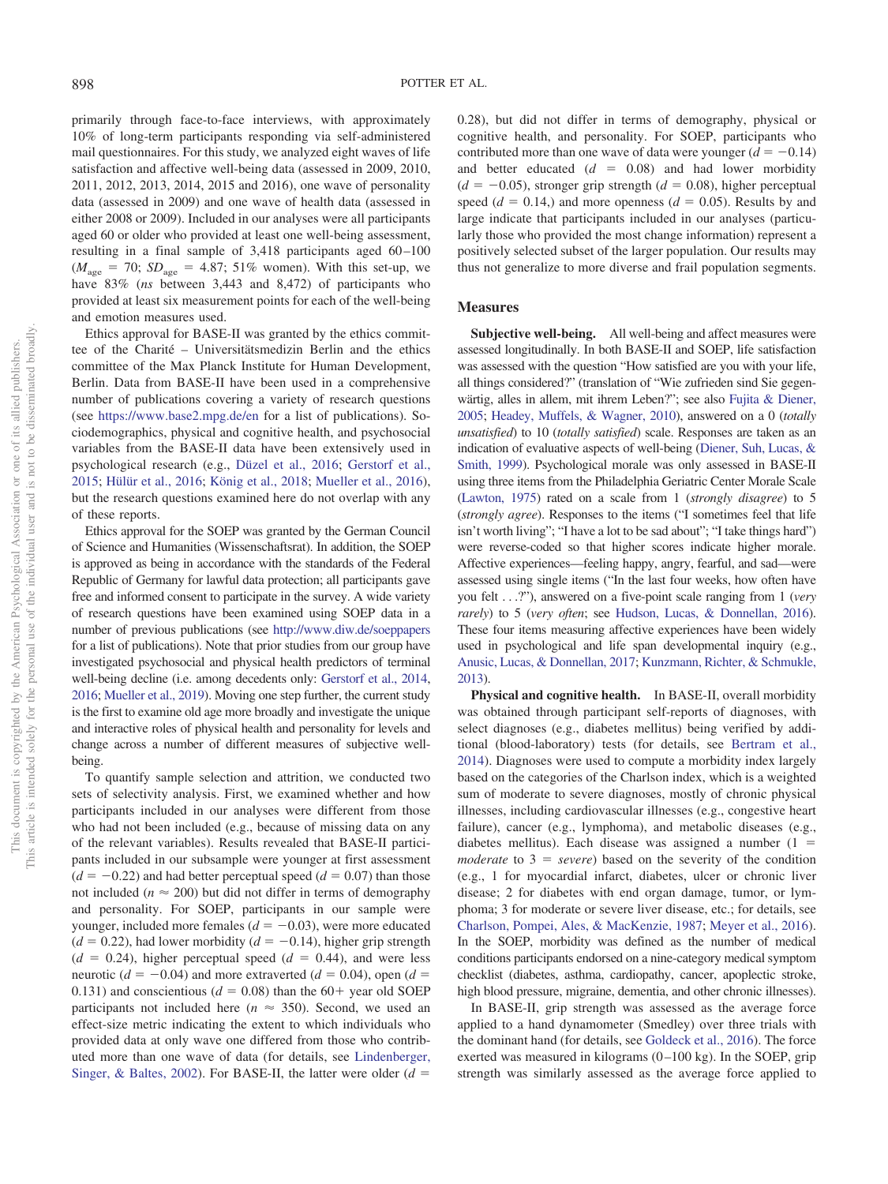primarily through face-to-face interviews, with approximately 10% of long-term participants responding via self-administered mail questionnaires. For this study, we analyzed eight waves of life satisfaction and affective well-being data (assessed in 2009, 2010, 2011, 2012, 2013, 2014, 2015 and 2016), one wave of personality data (assessed in 2009) and one wave of health data (assessed in either 2008 or 2009). Included in our analyses were all participants aged 60 or older who provided at least one well-being assessment, resulting in a final sample of 3,418 participants aged 60 –100  $(M<sub>age</sub> = 70; SD<sub>age</sub> = 4.87; 51% women)$ . With this set-up, we have 83% (*ns* between 3,443 and 8,472) of participants who provided at least six measurement points for each of the well-being and emotion measures used.

Ethics approval for BASE-II was granted by the ethics committee of the Charité – Universitätsmedizin Berlin and the ethics committee of the Max Planck Institute for Human Development, Berlin. Data from BASE-II have been used in a comprehensive number of publications covering a variety of research questions (see <https://www.base2.mpg.de/en> for a list of publications). Sociodemographics, physical and cognitive health, and psychosocial variables from the BASE-II data have been extensively used in psychological research (e.g., [Düzel et al., 2016;](#page-13-20) [Gerstorf et al.,](#page-13-19) [2015;](#page-13-19) [Hülür et al., 2016;](#page-13-21) [König et al., 2018;](#page-14-20) [Mueller et al., 2016\)](#page-14-21), but the research questions examined here do not overlap with any of these reports.

Ethics approval for the SOEP was granted by the German Council of Science and Humanities (Wissenschaftsrat). In addition, the SOEP is approved as being in accordance with the standards of the Federal Republic of Germany for lawful data protection; all participants gave free and informed consent to participate in the survey. A wide variety of research questions have been examined using SOEP data in a number of previous publications (see <http://www.diw.de/soeppapers> for a list of publications). Note that prior studies from our group have investigated psychosocial and physical health predictors of terminal well-being decline (i.e. among decedents only: [Gerstorf et al., 2014,](#page-13-22) [2016;](#page-13-17) [Mueller et al., 2019\)](#page-15-11). Moving one step further, the current study is the first to examine old age more broadly and investigate the unique and interactive roles of physical health and personality for levels and change across a number of different measures of subjective wellbeing.

To quantify sample selection and attrition, we conducted two sets of selectivity analysis. First, we examined whether and how participants included in our analyses were different from those who had not been included (e.g., because of missing data on any of the relevant variables). Results revealed that BASE-II participants included in our subsample were younger at first assessment  $(d = -0.22)$  and had better perceptual speed  $(d = 0.07)$  than those not included ( $n \approx 200$ ) but did not differ in terms of demography and personality. For SOEP, participants in our sample were younger, included more females  $(d = -0.03)$ , were more educated  $(d = 0.22)$ , had lower morbidity  $(d = -0.14)$ , higher grip strength  $(d = 0.24)$ , higher perceptual speed  $(d = 0.44)$ , and were less neurotic ( $d = -0.04$ ) and more extraverted ( $d = 0.04$ ), open ( $d =$ 0.131) and conscientious ( $d = 0.08$ ) than the 60+ year old SOEP participants not included here ( $n \approx 350$ ). Second, we used an effect-size metric indicating the extent to which individuals who provided data at only wave one differed from those who contributed more than one wave of data (for details, see [Lindenberger,](#page-14-22) [Singer, & Baltes, 2002\)](#page-14-22). For BASE-II, the latter were older  $(d =$ 

0.28), but did not differ in terms of demography, physical or cognitive health, and personality. For SOEP, participants who contributed more than one wave of data were younger  $(d = -0.14)$ and better educated  $(d = 0.08)$  and had lower morbidity  $(d = -0.05)$ , stronger grip strength  $(d = 0.08)$ , higher perceptual speed  $(d = 0.14)$ , and more openness  $(d = 0.05)$ . Results by and large indicate that participants included in our analyses (particularly those who provided the most change information) represent a positively selected subset of the larger population. Our results may thus not generalize to more diverse and frail population segments.

# **Measures**

**Subjective well-being.** All well-being and affect measures were assessed longitudinally. In both BASE-II and SOEP, life satisfaction was assessed with the question "How satisfied are you with your life, all things considered?" (translation of "Wie zufrieden sind Sie gegenwärtig, alles in allem, mit ihrem Leben?"; see also [Fujita & Diener,](#page-13-23) [2005;](#page-13-23) [Headey, Muffels, & Wagner, 2010\)](#page-13-24), answered on a 0 (totally *unsatisfied*) to 10 (*totally satisfied*) scale. Responses are taken as an indication of evaluative aspects of well-being [\(Diener, Suh, Lucas, &](#page-13-25) [Smith, 1999\)](#page-13-25). Psychological morale was only assessed in BASE-II using three items from the Philadelphia Geriatric Center Morale Scale [\(Lawton, 1975\)](#page-14-23) rated on a scale from 1 (*strongly disagree*) to 5 (*strongly agree*). Responses to the items ("I sometimes feel that life isn't worth living"; "I have a lot to be sad about"; "I take things hard") were reverse-coded so that higher scores indicate higher morale. Affective experiences—feeling happy, angry, fearful, and sad—were assessed using single items ("In the last four weeks, how often have you felt . . .?"), answered on a five-point scale ranging from 1 (*very rarely*) to 5 (*very often*; see [Hudson, Lucas, & Donnellan, 2016\)](#page-13-26). These four items measuring affective experiences have been widely used in psychological and life span developmental inquiry (e.g., [Anusic, Lucas, & Donnellan, 2017;](#page-12-16) [Kunzmann, Richter, & Schmukle,](#page-14-24) [2013\)](#page-14-24).

**Physical and cognitive health.** In BASE-II, overall morbidity was obtained through participant self-reports of diagnoses, with select diagnoses (e.g., diabetes mellitus) being verified by additional (blood-laboratory) tests (for details, see [Bertram et al.,](#page-12-15) [2014\)](#page-12-15). Diagnoses were used to compute a morbidity index largely based on the categories of the Charlson index, which is a weighted sum of moderate to severe diagnoses, mostly of chronic physical illnesses, including cardiovascular illnesses (e.g., congestive heart failure), cancer (e.g., lymphoma), and metabolic diseases (e.g., diabetes mellitus). Each disease was assigned a number  $(1 =$  $moderate$  to  $3 = severe)$  based on the severity of the condition (e.g., 1 for myocardial infarct, diabetes, ulcer or chronic liver disease; 2 for diabetes with end organ damage, tumor, or lymphoma; 3 for moderate or severe liver disease, etc.; for details, see [Charlson, Pompei, Ales, & MacKenzie, 1987;](#page-12-17) [Meyer et al., 2016\)](#page-14-25). In the SOEP, morbidity was defined as the number of medical conditions participants endorsed on a nine-category medical symptom checklist (diabetes, asthma, cardiopathy, cancer, apoplectic stroke, high blood pressure, migraine, dementia, and other chronic illnesses).

In BASE-II, grip strength was assessed as the average force applied to a hand dynamometer (Smedley) over three trials with the dominant hand (for details, see [Goldeck et al., 2016\)](#page-13-27). The force exerted was measured in kilograms  $(0-100 \text{ kg})$ . In the SOEP, grip strength was similarly assessed as the average force applied to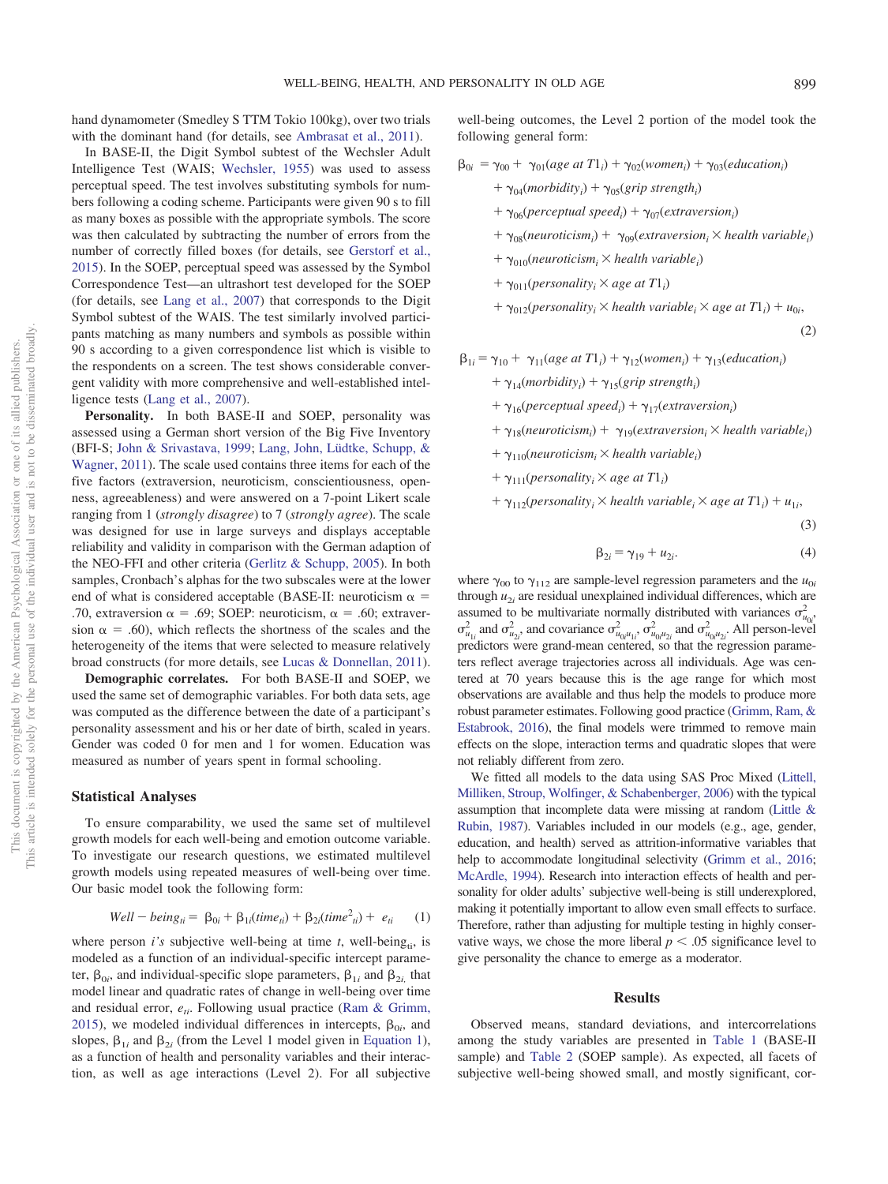hand dynamometer (Smedley S TTM Tokio 100kg), over two trials with the dominant hand (for details, see [Ambrasat et al., 2011\)](#page-12-9).

In BASE-II, the Digit Symbol subtest of the Wechsler Adult Intelligence Test (WAIS; [Wechsler, 1955\)](#page-15-14) was used to assess perceptual speed. The test involves substituting symbols for numbers following a coding scheme. Participants were given 90 s to fill as many boxes as possible with the appropriate symbols. The score was then calculated by subtracting the number of errors from the number of correctly filled boxes (for details, see [Gerstorf et al.,](#page-13-19) [2015\)](#page-13-19). In the SOEP, perceptual speed was assessed by the Symbol Correspondence Test—an ultrashort test developed for the SOEP (for details, see [Lang et al., 2007\)](#page-14-15) that corresponds to the Digit Symbol subtest of the WAIS. The test similarly involved participants matching as many numbers and symbols as possible within 90 s according to a given correspondence list which is visible to the respondents on a screen. The test shows considerable convergent validity with more comprehensive and well-established intelligence tests [\(Lang et al., 2007\)](#page-14-15).

**Personality.** In both BASE-II and SOEP, personality was assessed using a German short version of the Big Five Inventory (BFI-S; [John & Srivastava, 1999;](#page-13-28) [Lang, John, Lüdtke, Schupp, &](#page-14-26) [Wagner, 2011\)](#page-14-26). The scale used contains three items for each of the five factors (extraversion, neuroticism, conscientiousness, openness, agreeableness) and were answered on a 7-point Likert scale ranging from 1 (*strongly disagree*) to 7 (*strongly agree*). The scale was designed for use in large surveys and displays acceptable reliability and validity in comparison with the German adaption of the NEO-FFI and other criteria [\(Gerlitz & Schupp, 2005\)](#page-13-29). In both samples, Cronbach's alphas for the two subscales were at the lower end of what is considered acceptable (BASE-II: neuroticism  $\alpha$  = .70, extraversion  $\alpha = .69$ ; SOEP: neuroticism,  $\alpha = .60$ ; extraversion  $\alpha = .60$ , which reflects the shortness of the scales and the heterogeneity of the items that were selected to measure relatively broad constructs (for more details, see [Lucas & Donnellan, 2011\)](#page-14-27).

**Demographic correlates.** For both BASE-II and SOEP, we used the same set of demographic variables. For both data sets, age was computed as the difference between the date of a participant's personality assessment and his or her date of birth, scaled in years. Gender was coded 0 for men and 1 for women. Education was measured as number of years spent in formal schooling.

## **Statistical Analyses**

To ensure comparability, we used the same set of multilevel growth models for each well-being and emotion outcome variable. To investigate our research questions, we estimated multilevel growth models using repeated measures of well-being over time. Our basic model took the following form:

$$
Well - being_{ti} = \beta_{0i} + \beta_{1i}(time_{ti}) + \beta_{2i}(time_{ti}^{2}) + e_{ti} \qquad (1)
$$

<span id="page-5-0"></span>where person  $i$ 's subjective well-being at time  $t$ , well-being<sub>ti</sub>, is modeled as a function of an individual-specific intercept parameter,  $\beta_{0i}$ , and individual-specific slope parameters,  $\beta_{1i}$  and  $\beta_{2i}$ , that model linear and quadratic rates of change in well-being over time and residual error,  $e_{ii}$ . Following usual practice [\(Ram & Grimm,](#page-15-22) [2015\)](#page-15-22), we modeled individual differences in intercepts,  $\beta_{0i}$ , and slopes,  $\beta_{1i}$  and  $\beta_{2i}$  (from the Level 1 model given in [Equation 1\)](#page-5-0), as a function of health and personality variables and their interaction, as well as age interactions (Level 2). For all subjective well-being outcomes, the Level 2 portion of the model took the following general form:

$$
\beta_{0i} = \gamma_{00} + \gamma_{01}(age \ at \ T1_i) + \gamma_{02}(women_i) + \gamma_{03}(eduction_i)
$$

- +  $\gamma_{04}(morbidity_i) + \gamma_{05}(grip \ strength_i)$
- +  $\gamma_{06}$ (*perceptual speed<sub>i</sub>*) +  $\gamma_{07}$ (*extraversion<sub>i</sub>*)
- +  $\gamma_{08}(neuroticism_i)$  +  $\gamma_{09}(extraversion_i \times health\ variable_i)$
- $+ \gamma_{010}$ (*neuroticism*<sub>i</sub>  $\times$  *health variable*<sub>*i*</sub>)
- +  $\gamma_{011}(presonality_i \times age \text{ at } T1_i)$
- $+ \gamma_{012}(presonality_i \times health\ variable_i \times age\ at\ T1_i) + u_{0i}$

(2)

$$
\beta_{1i} = \gamma_{10} + \gamma_{11}(age \text{ at } T1_i) + \gamma_{12}(women_i) + \gamma_{13}(eduction_i)
$$

+  $\gamma_{14}(morbidity_i) + \gamma_{15}(grip strength_i)$ 

- +  $\gamma_{16}(perceptual speed_i) + \gamma_{17}(extraversion_i)$
- +  $\gamma_{18}(neuroticism_i)$  +  $\gamma_{19}(extraversion_i \times health\ variable_i)$
- $+ \gamma_{110}$ (*neuroticism*<sub>i</sub>  $\times$  *health variable*<sub>i</sub>)
- +  $\gamma_{111}(presonality_i \times age \text{ at } T1_i)$
- $+ \gamma_{112}(presonality_i \times health\ variable_i \times age\ at\ T1_i) + u_{1i}$

(3)

$$
\beta_{2i} = \gamma_{19} + u_{2i}.\tag{4}
$$

where  $\gamma_{00}$  to  $\gamma_{112}$  are sample-level regression parameters and the  $u_{0i}$ through  $u_{2i}$  are residual unexplained individual differences, which are assumed to be multivariate normally distributed with variances  $\sigma_{u_{0i}}^2$  $\sigma^2_{u_{1i}}$  and  $\sigma^2_{u_{2i}}$  and covariance  $\sigma^2_{u_{0i}u_{1i}}$ ,  $\sigma^2_{u_{0i}u_{2i}}$  and  $\sigma^2_{u_{0i}u_{2i}}$ . All person-level predictors were grand-mean centered, so that the regression parameters reflect average trajectories across all individuals. Age was centered at 70 years because this is the age range for which most observations are available and thus help the models to produce more robust parameter estimates. Following good practice [\(Grimm, Ram, &](#page-13-30) [Estabrook, 2016\)](#page-13-30), the final models were trimmed to remove main effects on the slope, interaction terms and quadratic slopes that were not reliably different from zero.

We fitted all models to the data using SAS Proc Mixed [\(Littell,](#page-14-28) [Milliken, Stroup, Wolfinger, & Schabenberger, 2006\)](#page-14-28) with the typical assumption that incomplete data were missing at random [\(Little &](#page-14-29) [Rubin, 1987\)](#page-14-29). Variables included in our models (e.g., age, gender, education, and health) served as attrition-informative variables that help to accommodate longitudinal selectivity [\(Grimm et al., 2016;](#page-13-30) [McArdle, 1994\)](#page-14-30). Research into interaction effects of health and personality for older adults' subjective well-being is still underexplored, making it potentially important to allow even small effects to surface. Therefore, rather than adjusting for multiple testing in highly conservative ways, we chose the more liberal  $p \leq .05$  significance level to give personality the chance to emerge as a moderator.

#### **Results**

Observed means, standard deviations, and intercorrelations among the study variables are presented in [Table 1](#page-6-0) (BASE-II sample) and [Table 2](#page-6-1) (SOEP sample). As expected, all facets of subjective well-being showed small, and mostly significant, cor-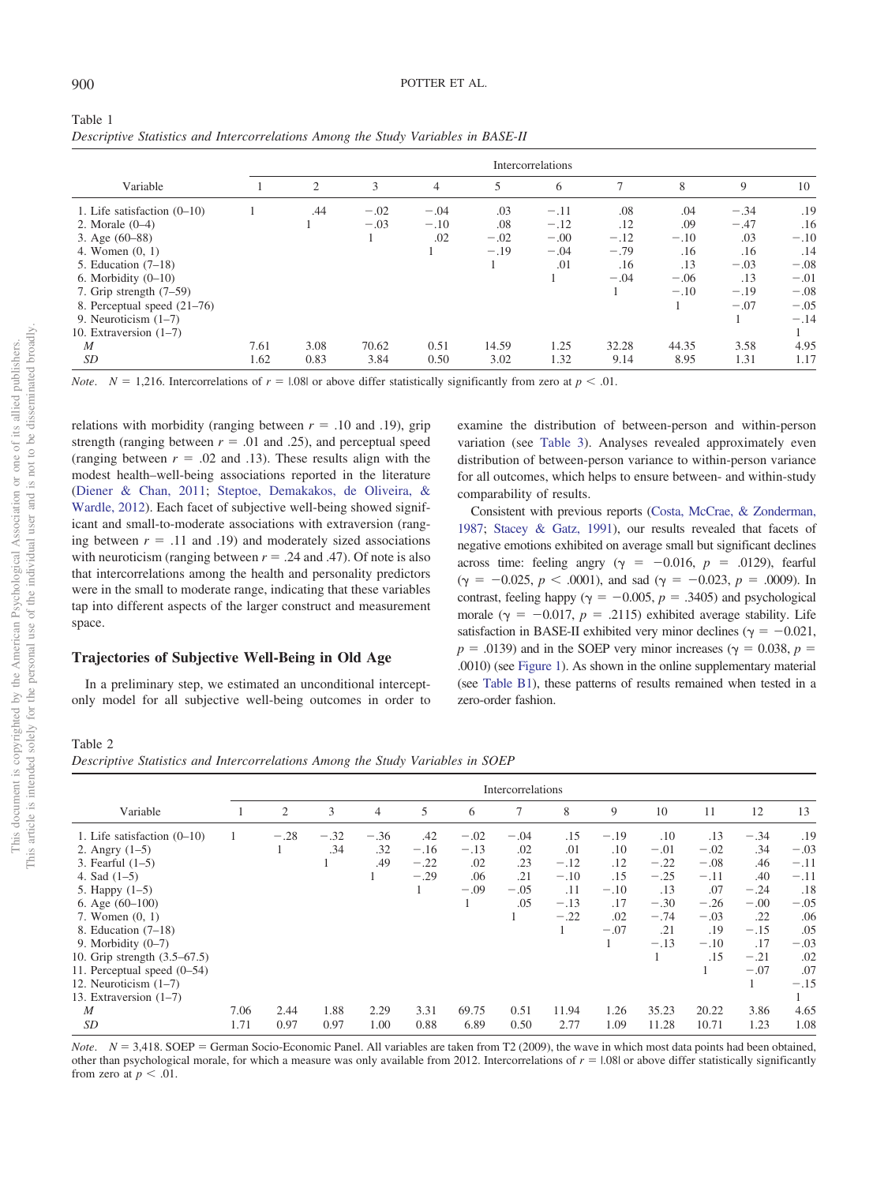<span id="page-6-0"></span>

| Table 1                                                                           |  |
|-----------------------------------------------------------------------------------|--|
| Descriptive Statistics and Intercorrelations Among the Study Variables in BASE-II |  |

|                               |      | Intercorrelations |        |        |        |        |        |        |        |        |
|-------------------------------|------|-------------------|--------|--------|--------|--------|--------|--------|--------|--------|
| Variable                      |      | 2                 | 3      | 4      | 5      | 6      | 7      | 8      | 9      | 10     |
| 1. Life satisfaction $(0-10)$ |      | .44               | $-.02$ | $-.04$ | .03    | $-.11$ | .08    | .04    | $-.34$ | .19    |
| 2. Morale $(0-4)$             |      |                   | $-.03$ | $-.10$ | .08    | $-.12$ | .12    | .09    | $-.47$ | .16    |
| 3. Age $(60-88)$              |      |                   |        | .02    | $-.02$ | $-.00$ | $-.12$ | $-.10$ | .03    | $-.10$ |
| 4. Women $(0, 1)$             |      |                   |        |        | $-.19$ | $-.04$ | $-.79$ | .16    | .16    | .14    |
| 5. Education $(7-18)$         |      |                   |        |        |        | .01    | .16    | .13    | $-.03$ | $-.08$ |
| 6. Morbidity $(0-10)$         |      |                   |        |        |        |        | $-.04$ | $-.06$ | .13    | $-.01$ |
| 7. Grip strength $(7-59)$     |      |                   |        |        |        |        |        | $-.10$ | $-.19$ | $-.08$ |
| 8. Perceptual speed $(21–76)$ |      |                   |        |        |        |        |        |        | $-.07$ | $-.05$ |
| 9. Neuroticism $(1-7)$        |      |                   |        |        |        |        |        |        |        | $-.14$ |
| 10. Extraversion $(1-7)$      |      |                   |        |        |        |        |        |        |        |        |
| $\boldsymbol{M}$              | 7.61 | 3.08              | 70.62  | 0.51   | 14.59  | 1.25   | 32.28  | 44.35  | 3.58   | 4.95   |
| <i>SD</i>                     | 1.62 | 0.83              | 3.84   | 0.50   | 3.02   | 1.32   | 9.14   | 8.95   | 1.31   | 1.17   |

*Note.*  $N = 1,216$ . Intercorrelations of  $r = 1.08$  or above differ statistically significantly from zero at  $p < 0.01$ .

relations with morbidity (ranging between  $r = .10$  and .19), grip strength (ranging between  $r = .01$  and .25), and perceptual speed (ranging between  $r = .02$  and .13). These results align with the modest health–well-being associations reported in the literature [\(Diener & Chan, 2011;](#page-13-31) [Steptoe, Demakakos, de Oliveira, &](#page-15-23) [Wardle, 2012\)](#page-15-23). Each facet of subjective well-being showed significant and small-to-moderate associations with extraversion (ranging between  $r = .11$  and  $.19$ ) and moderately sized associations with neuroticism (ranging between  $r = .24$  and .47). Of note is also that intercorrelations among the health and personality predictors were in the small to moderate range, indicating that these variables tap into different aspects of the larger construct and measurement space.

# **Trajectories of Subjective Well-Being in Old Age**

In a preliminary step, we estimated an unconditional interceptonly model for all subjective well-being outcomes in order to examine the distribution of between-person and within-person variation (see [Table 3\)](#page-7-0). Analyses revealed approximately even distribution of between-person variance to within-person variance for all outcomes, which helps to ensure between- and within-study comparability of results.

Consistent with previous reports [\(Costa, McCrae, & Zonderman,](#page-12-18) [1987;](#page-12-18) [Stacey & Gatz, 1991\)](#page-15-24), our results revealed that facets of negative emotions exhibited on average small but significant declines across time: feeling angry ( $\gamma = -0.016$ ,  $p = .0129$ ), fearful  $(\gamma = -0.025, p < .0001)$ , and sad  $(\gamma = -0.023, p = .0009)$ . In contrast, feeling happy ( $\gamma = -0.005$ ,  $p = .3405$ ) and psychological morale ( $\gamma = -0.017$ ,  $p = .2115$ ) exhibited average stability. Life satisfaction in BASE-II exhibited very minor declines ( $\gamma = -0.021$ ,  $p = .0139$ ) and in the SOEP very minor increases ( $\gamma = 0.038$ ,  $p =$ .0010) (see [Figure 1\)](#page-7-1). As shown in the online supplementary material (see [Table B1\)](http://dx.doi.org/10.1037/pag0000459.supp), these patterns of results remained when tested in a zero-order fashion.

## <span id="page-6-1"></span>Table 2

*Descriptive Statistics and Intercorrelations Among the Study Variables in SOEP*

|                               | Intercorrelations |        |        |        |        |        |        |        |        |        |        |        |        |
|-------------------------------|-------------------|--------|--------|--------|--------|--------|--------|--------|--------|--------|--------|--------|--------|
| Variable                      |                   | 2      | 3      | 4      | 5      | 6      |        | 8      | 9      | 10     | 11     | 12     | 13     |
| 1. Life satisfaction $(0-10)$ |                   | $-.28$ | $-.32$ | $-.36$ | .42    | $-.02$ | $-.04$ | .15    | $-.19$ | .10    | .13    | $-.34$ | .19    |
| 2. Angry $(1-5)$              |                   |        | .34    | .32    | $-.16$ | $-.13$ | .02    | .01    | .10    | $-.01$ | $-.02$ | .34    | $-.03$ |
| 3. Fearful $(1-5)$            |                   |        |        | .49    | $-.22$ | .02    | .23    | $-.12$ | .12    | $-.22$ | $-.08$ | .46    | $-.11$ |
| 4. Sad $(1-5)$                |                   |        |        |        | $-.29$ | .06    | .21    | $-.10$ | .15    | $-.25$ | $-.11$ | .40    | $-.11$ |
| 5. Happy $(1-5)$              |                   |        |        |        |        | $-.09$ | $-.05$ | .11    | $-.10$ | .13    | .07    | $-.24$ | .18    |
| 6. Age (60-100)               |                   |        |        |        |        |        | .05    | $-.13$ | .17    | $-.30$ | $-.26$ | $-.00$ | $-.05$ |
| 7. Women $(0, 1)$             |                   |        |        |        |        |        |        | $-.22$ | .02    | $-.74$ | $-.03$ | .22    | .06    |
| 8. Education $(7-18)$         |                   |        |        |        |        |        |        |        | $-.07$ | .21    | .19    | $-.15$ | .05    |
| 9. Morbidity $(0-7)$          |                   |        |        |        |        |        |        |        |        | $-.13$ | $-.10$ | .17    | $-.03$ |
| 10. Grip strength (3.5–67.5)  |                   |        |        |        |        |        |        |        |        |        | .15    | $-.21$ | .02    |
| 11. Perceptual speed (0–54)   |                   |        |        |        |        |        |        |        |        |        |        | $-.07$ | .07    |
| 12. Neuroticism $(1-7)$       |                   |        |        |        |        |        |        |        |        |        |        |        | $-.15$ |
| 13. Extraversion (1-7)        |                   |        |        |        |        |        |        |        |        |        |        |        |        |
| M                             | 7.06              | 2.44   | 1.88   | 2.29   | 3.31   | 69.75  | 0.51   | 11.94  | 1.26   | 35.23  | 20.22  | 3.86   | 4.65   |
| <i>SD</i>                     | 1.71              | 0.97   | 0.97   | 1.00   | 0.88   | 6.89   | 0.50   | 2.77   | 1.09   | 11.28  | 10.71  | 1.23   | 1.08   |

*Note.*  $N = 3,418$ . SOEP = German Socio-Economic Panel. All variables are taken from T2 (2009), the wave in which most data points had been obtained, other than psychological morale, for which a measure was only available from 2012. Intercorrelations of  $r = 1.08$  or above differ statistically significantly from zero at  $p < .01$ .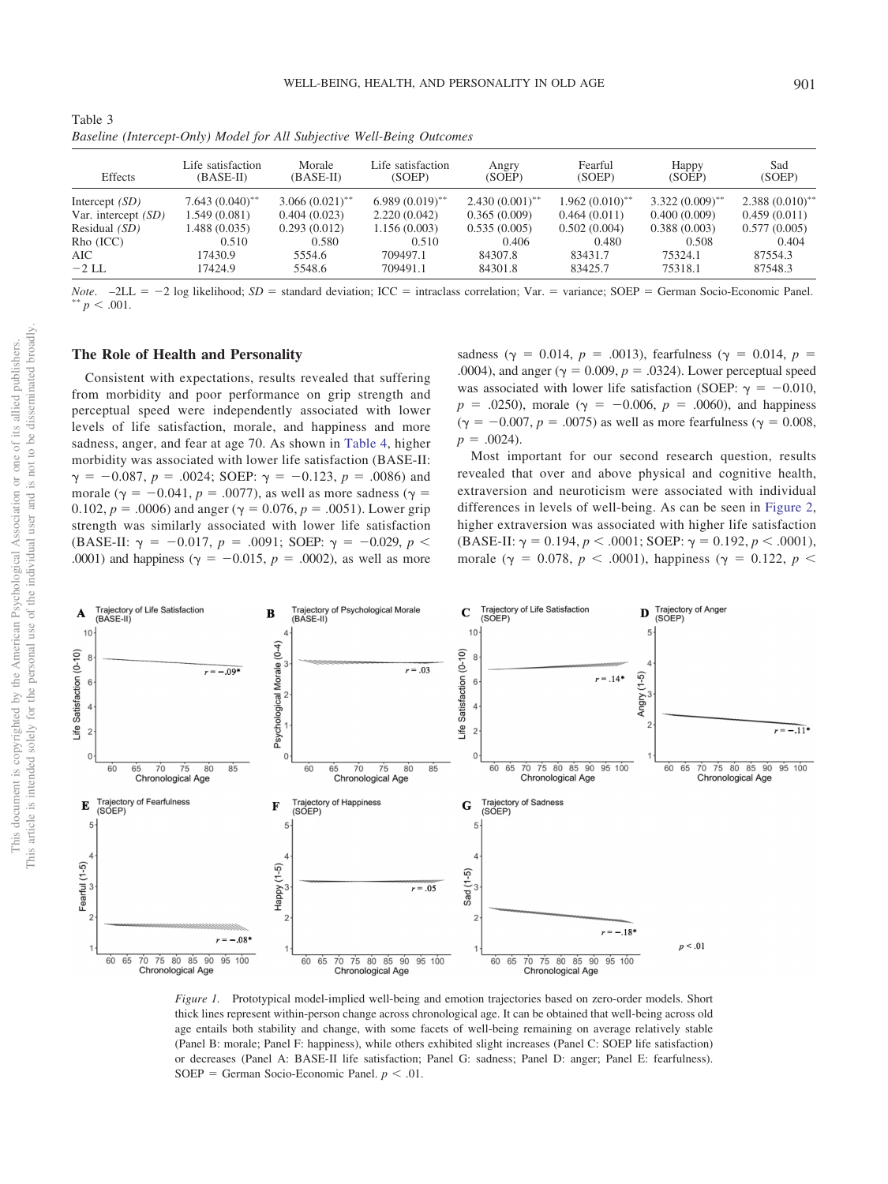<span id="page-7-0"></span>

| Table 3                                                                |  |  |  |
|------------------------------------------------------------------------|--|--|--|
| Baseline (Intercept-Only) Model for All Subjective Well-Being Outcomes |  |  |  |

| Effects               | Life satisfaction<br>(BASE-II) | Morale<br>(BASE-II) | Life satisfaction<br>(SOEP) | Angry<br>(SOEP)   | Fearful<br>(SOEP)            | Happy<br>(SOEP)   | Sad<br>(SOEP)                |
|-----------------------|--------------------------------|---------------------|-----------------------------|-------------------|------------------------------|-------------------|------------------------------|
| Intercept $(SD)$      | $7.643(0.040)$ **              | $3.066(0.021)$ **   | $6.989(0.019)$ **           | $2.430(0.001)$ ** | $1.962(0.010)$ <sup>**</sup> | $3.322(0.009)$ ** | $2.388(0.010)$ <sup>**</sup> |
| Var. intercept $(SD)$ | 1.549(0.081)                   | 0.404(0.023)        | 2.220(0.042)                | 0.365(0.009)      | 0.464(0.011)                 | 0.400(0.009)      | 0.459(0.011)                 |
| Residual $(SD)$       | 1.488(0.035)                   | 0.293(0.012)        | 1.156(0.003)                | 0.535(0.005)      | 0.502(0.004)                 | 0.388(0.003)      | 0.577(0.005)                 |
| Rho (ICC)             | 0.510                          | 0.580               | 0.510                       | 0.406             | 0.480                        | 0.508             | 0.404                        |
| AIC                   | 17430.9                        | 5554.6              | 709497.1                    | 84307.8           | 83431.7                      | 75324.1           | 87554.3                      |
| $-2$ LL               | 17424.9                        | 5548.6              | 709491.1                    | 84301.8           | 83425.7                      | 75318.1           | 87548.3                      |

*Note*.  $-2LL = -2 \log$  likelihood; *SD* = standard deviation; ICC = intraclass correlation; Var. = variance; SOEP = German Socio-Economic Panel.  $p < .001$ .

# **The Role of Health and Personality**

Consistent with expectations, results revealed that suffering from morbidity and poor performance on grip strength and perceptual speed were independently associated with lower levels of life satisfaction, morale, and happiness and more sadness, anger, and fear at age 70. As shown in [Table 4,](#page-8-0) higher morbidity was associated with lower life satisfaction (BASE-II:  $\gamma = -0.087$ ,  $p = .0024$ ; SOEP:  $\gamma = -0.123$ ,  $p = .0086$ ) and morale ( $\gamma = -0.041$ ,  $p = .0077$ ), as well as more sadness ( $\gamma =$ 0.102,  $p = .0006$ ) and anger ( $\gamma = 0.076$ ,  $p = .0051$ ). Lower grip strength was similarly associated with lower life satisfaction  $(BASE-II: \gamma = -0.017, p = .0091; SOEP: \gamma = -0.029, p <$ .0001) and happiness ( $\gamma = -0.015$ ,  $p = .0002$ ), as well as more

sadness ( $\gamma = 0.014$ ,  $p = .0013$ ), fearfulness ( $\gamma = 0.014$ ,  $p =$ .0004), and anger ( $\gamma = 0.009$ ,  $p = .0324$ ). Lower perceptual speed was associated with lower life satisfaction (SOEP:  $\gamma = -0.010$ ,  $p = .0250$ , morale ( $\gamma = -0.006$ ,  $p = .0060$ ), and happiness  $(\gamma = -0.007, p = .0075)$  as well as more fearfulness ( $\gamma = 0.008$ ,  $p = .0024$ .

Most important for our second research question, results revealed that over and above physical and cognitive health, extraversion and neuroticism were associated with individual differences in levels of well-being. As can be seen in [Figure 2,](#page-9-0) higher extraversion was associated with higher life satisfaction  $(BASE-II: \gamma = 0.194, p < .0001; SOEP: \gamma = 0.192, p < .0001$ , morale ( $\gamma = 0.078, p < .0001$ ), happiness ( $\gamma = 0.122, p <$ 



<span id="page-7-1"></span>*Figure 1.* Prototypical model-implied well-being and emotion trajectories based on zero-order models. Short thick lines represent within-person change across chronological age. It can be obtained that well-being across old age entails both stability and change, with some facets of well-being remaining on average relatively stable (Panel B: morale; Panel F: happiness), while others exhibited slight increases (Panel C: SOEP life satisfaction) or decreases (Panel A: BASE-II life satisfaction; Panel G: sadness; Panel D: anger; Panel E: fearfulness).  $SOEP = German Socio-Economic Panel.  $p < .01$ .$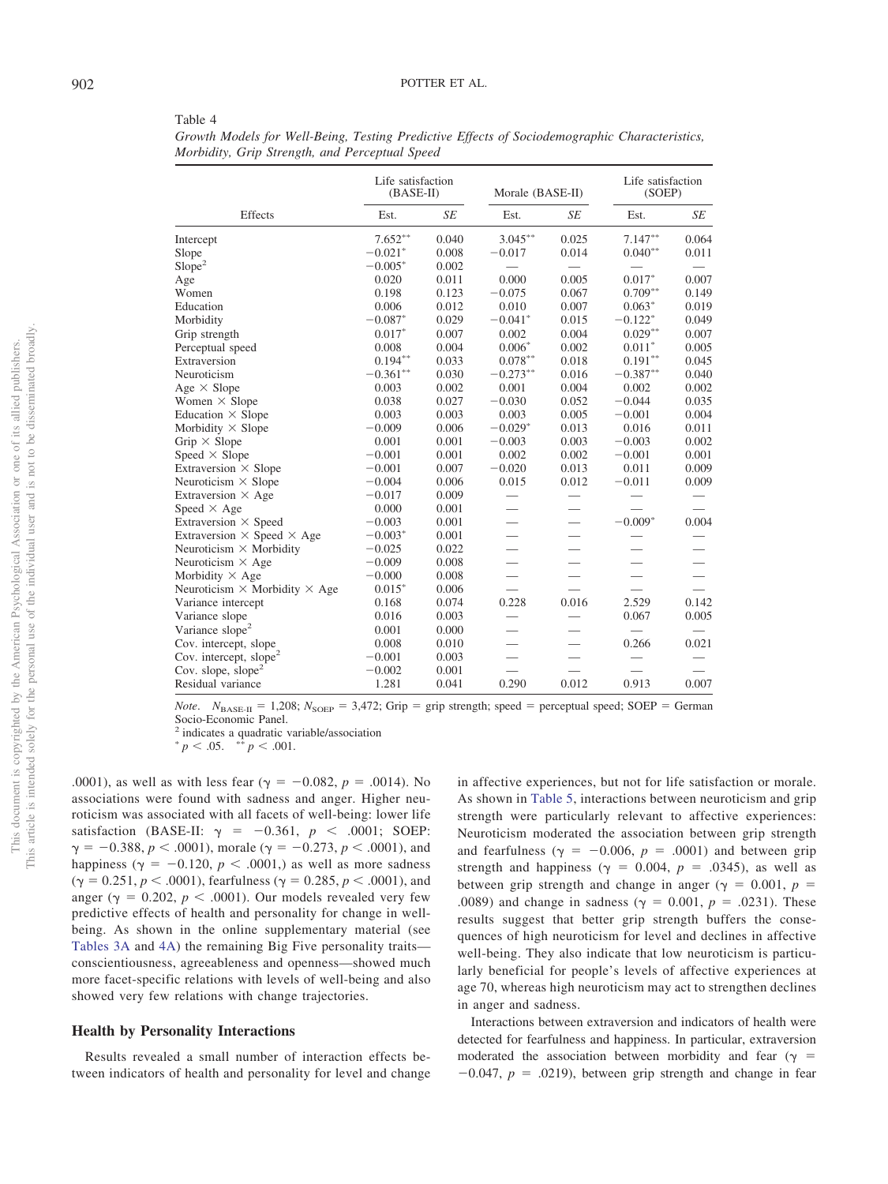| This article is intended solely for the personal use of the individual user and is not to be disseminated broadly.<br>This document is copyrighted by the American Psychological Association or one of its allied publishers. |                                   |
|-------------------------------------------------------------------------------------------------------------------------------------------------------------------------------------------------------------------------------|-----------------------------------|
|                                                                                                                                                                                                                               | .00<br>ass<br>rot<br>sat<br>$γ =$ |

<span id="page-8-0"></span>Table 4

*Growth Models for Well-Being, Testing Predictive Effects of Sociodemographic Characteristics, Morbidity, Grip Strength, and Perceptual Speed*

|                                             | Life satisfaction<br>$(BASE-II)$ |           | Morale (BASE-II)         |                          |                          | Life satisfaction<br>(SOEP)   |  |  |
|---------------------------------------------|----------------------------------|-----------|--------------------------|--------------------------|--------------------------|-------------------------------|--|--|
| Effects                                     | Est.                             | <b>SE</b> | Est.                     | SE                       | Est.                     | SE                            |  |  |
| Intercept                                   | $7.652**$                        | 0.040     | $3.045***$               | 0.025                    | $7.147**$                | 0.064                         |  |  |
| Slope                                       | $-0.021*$                        | 0.008     | $-0.017$                 | 0.014                    | $0.040**$                | 0.011                         |  |  |
| Slope <sup>2</sup>                          | $-0.005*$                        | 0.002     |                          |                          |                          |                               |  |  |
| Age                                         | 0.020                            | 0.011     | 0.000                    | 0.005                    | $0.017*$                 | 0.007                         |  |  |
| Women                                       | 0.198                            | 0.123     | $-0.075$                 | 0.067                    | $0.709**$                | 0.149                         |  |  |
| Education                                   | 0.006                            | 0.012     | 0.010                    | 0.007                    | $0.063*$                 | 0.019                         |  |  |
| Morbidity                                   | $-0.087*$                        | 0.029     | $-0.041*$                | 0.015                    | $-0.122*$                | 0.049                         |  |  |
| Grip strength                               | $0.017*$                         | 0.007     | 0.002                    | 0.004                    | $0.029^{\ast\ast}$       | 0.007                         |  |  |
| Perceptual speed                            | 0.008                            | 0.004     | $0.006*$                 | 0.002                    | $0.011*$                 | 0.005                         |  |  |
| Extraversion                                | $0.194***$                       | 0.033     | $0.078***$               | 0.018                    | $0.191**$                | 0.045                         |  |  |
| Neuroticism                                 | $-0.361**$                       | 0.030     | $-0.273***$              | 0.016                    | $-0.387**$               | 0.040                         |  |  |
| Age $\times$ Slope                          | 0.003                            | 0.002     | 0.001                    | 0.004                    | 0.002                    | 0.002                         |  |  |
| Women $\times$ Slope                        | 0.038                            | 0.027     | $-0.030$                 | 0.052                    | $-0.044$                 | 0.035                         |  |  |
| Education $\times$ Slope                    | 0.003                            | 0.003     | 0.003                    | 0.005                    | $-0.001$                 | 0.004                         |  |  |
| Morbidity $\times$ Slope                    | $-0.009$                         | 0.006     | $-0.029*$                | 0.013                    | 0.016                    | 0.011                         |  |  |
| Grip $\times$ Slope                         | 0.001                            | 0.001     | $-0.003$                 | 0.003                    | $-0.003$                 | 0.002                         |  |  |
| Speed $\times$ Slope                        | $-0.001$                         | 0.001     | 0.002                    | 0.002                    | $-0.001$                 | 0.001                         |  |  |
| Extraversion $\times$ Slope                 | $-0.001$                         | 0.007     | $-0.020$                 | 0.013                    | 0.011                    | 0.009                         |  |  |
| Neuroticism $\times$ Slope                  | $-0.004$                         | 0.006     | 0.015                    | 0.012                    | $-0.011$                 | 0.009                         |  |  |
| Extraversion $\times$ Age                   | $-0.017$                         | 0.009     |                          | $\overline{\phantom{0}}$ |                          |                               |  |  |
| Speed $\times$ Age                          | 0.000                            | 0.001     |                          |                          |                          |                               |  |  |
| Extraversion $\times$ Speed                 | $-0.003$                         | 0.001     |                          | $\overline{\phantom{0}}$ | $-0.009*$                | 0.004                         |  |  |
| Extraversion $\times$ Speed $\times$ Age    | $-0.003*$                        | 0.001     | $\overline{\phantom{0}}$ | $\overline{\phantom{0}}$ |                          |                               |  |  |
| Neuroticism $\times$ Morbidity              | $-0.025$                         | 0.022     | $\overline{\phantom{0}}$ | $\overline{\phantom{0}}$ |                          |                               |  |  |
| Neuroticism $\times$ Age                    | $-0.009$                         | 0.008     | $\overline{\phantom{0}}$ | $\overline{\phantom{0}}$ |                          | $\overbrace{\phantom{aaaaa}}$ |  |  |
| Morbidity $\times$ Age                      | $-0.000$                         | 0.008     |                          | $\overline{\phantom{0}}$ | $\overline{\phantom{0}}$ |                               |  |  |
| Neuroticism $\times$ Morbidity $\times$ Age | $0.015*$                         | 0.006     | $\overline{\phantom{a}}$ |                          |                          |                               |  |  |
| Variance intercept                          | 0.168                            | 0.074     | 0.228                    | 0.016                    | 2.529                    | 0.142                         |  |  |
| Variance slope                              | 0.016                            | 0.003     |                          |                          | 0.067                    | 0.005                         |  |  |
| Variance slope <sup>2</sup>                 | 0.001                            | 0.000     | $\overline{\phantom{0}}$ | $\overline{\phantom{0}}$ |                          |                               |  |  |
| Cov. intercept, slope                       | 0.008                            | 0.010     | $\overline{\phantom{0}}$ | $\overline{\phantom{0}}$ | 0.266                    | 0.021                         |  |  |
| Cov. intercept, slope <sup>2</sup>          | $-0.001$                         | 0.003     |                          | $\overline{\phantom{0}}$ |                          |                               |  |  |
| Cov. slope, slope <sup>2</sup>              | $-0.002$                         | 0.001     |                          |                          |                          |                               |  |  |
| Residual variance                           | 1.281                            | 0.041     | 0.290                    | 0.012                    | 0.913                    | 0.007                         |  |  |
|                                             |                                  |           |                          |                          |                          |                               |  |  |

*Note*.  $N_{\text{BASE-II}} = 1,208$ ;  $N_{\text{SOEP}} = 3,472$ ; Grip = grip strength; speed = perceptual speed; SOEP = German Socio-Economic Panel.

<sup>2</sup> indicates a quadratic variable/association

 $p < .05.$   $\longrightarrow^{*} p < .001.$ 

.0001), as well as with less fear ( $\gamma = -0.082$ ,  $p = .0014$ ). No ociations were found with sadness and anger. Higher neuicism was associated with all facets of well-being: lower life satisfaction (BASE-II:  $\gamma = -0.361, p < .0001$ ; SOEP:  $\gamma = -0.388, p < .0001$ , morale ( $\gamma = -0.273, p < .0001$ ), and happiness ( $\gamma = -0.120$ ,  $p < .0001$ ,) as well as more sadness  $(\gamma = 0.251, p < .0001)$ , fearfulness ( $\gamma = 0.285, p < .0001$ ), and anger ( $\gamma = 0.202$ ,  $p < .0001$ ). Our models revealed very few predictive effects of health and personality for change in wellbeing. As shown in the online supplementary material (see [Tables 3A](http://dx.doi.org/10.1037/pag0000459.supp) and [4A\)](http://dx.doi.org/10.1037/pag0000459.supp) the remaining Big Five personality traits conscientiousness, agreeableness and openness—showed much more facet-specific relations with levels of well-being and also showed very few relations with change trajectories.

## **Health by Personality Interactions**

Results revealed a small number of interaction effects between indicators of health and personality for level and change

in affective experiences, but not for life satisfaction or morale. As shown in [Table 5,](#page-10-0) interactions between neuroticism and grip strength were particularly relevant to affective experiences: Neuroticism moderated the association between grip strength and fearfulness ( $\gamma = -0.006$ ,  $p = .0001$ ) and between grip strength and happiness ( $\gamma = 0.004$ ,  $p = .0345$ ), as well as between grip strength and change in anger ( $\gamma = 0.001$ ,  $p =$ .0089) and change in sadness ( $\gamma = 0.001$ ,  $p = .0231$ ). These results suggest that better grip strength buffers the consequences of high neuroticism for level and declines in affective well-being. They also indicate that low neuroticism is particularly beneficial for people's levels of affective experiences at age 70, whereas high neuroticism may act to strengthen declines in anger and sadness.

Interactions between extraversion and indicators of health were detected for fearfulness and happiness. In particular, extraversion moderated the association between morbidity and fear ( $\gamma$  =  $-0.047$ ,  $p = .0219$ ), between grip strength and change in fear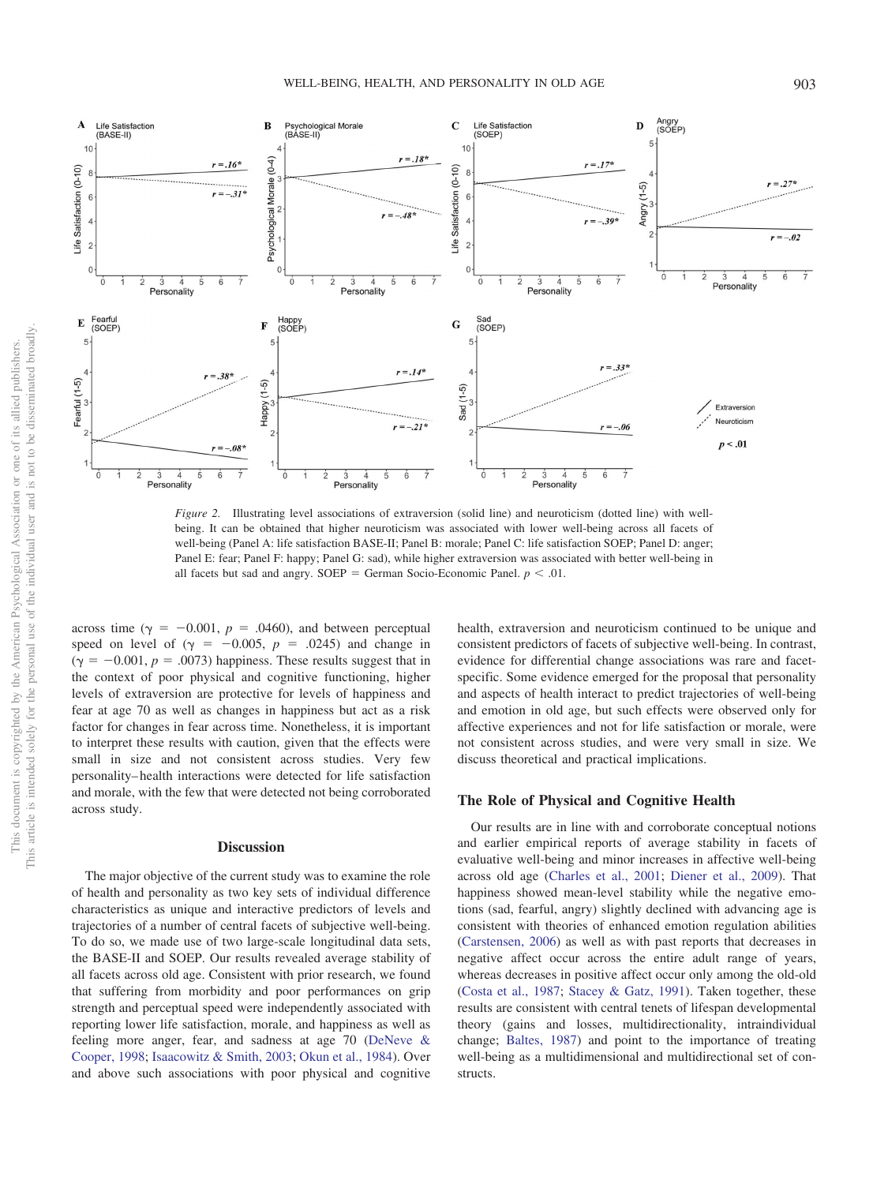

<span id="page-9-0"></span>*Figure 2.* Illustrating level associations of extraversion (solid line) and neuroticism (dotted line) with wellbeing. It can be obtained that higher neuroticism was associated with lower well-being across all facets of well-being (Panel A: life satisfaction BASE-II; Panel B: morale; Panel C: life satisfaction SOEP; Panel D: anger; Panel E: fear; Panel F: happy; Panel G: sad), while higher extraversion was associated with better well-being in all facets but sad and angry.  $SOEP = German Socio-Economic Panel.  $p < .01$ .$ 

across time ( $\gamma = -0.001$ ,  $p = .0460$ ), and between perceptual speed on level of  $(\gamma = -0.005, p = .0245)$  and change in  $(\gamma = -0.001, p = .0073)$  happiness. These results suggest that in the context of poor physical and cognitive functioning, higher levels of extraversion are protective for levels of happiness and fear at age 70 as well as changes in happiness but act as a risk factor for changes in fear across time. Nonetheless, it is important to interpret these results with caution, given that the effects were small in size and not consistent across studies. Very few personality– health interactions were detected for life satisfaction and morale, with the few that were detected not being corroborated across study.

#### **Discussion**

The major objective of the current study was to examine the role of health and personality as two key sets of individual difference characteristics as unique and interactive predictors of levels and trajectories of a number of central facets of subjective well-being. To do so, we made use of two large-scale longitudinal data sets, the BASE-II and SOEP. Our results revealed average stability of all facets across old age. Consistent with prior research, we found that suffering from morbidity and poor performances on grip strength and perceptual speed were independently associated with reporting lower life satisfaction, morale, and happiness as well as feeling more anger, fear, and sadness at age 70 [\(DeNeve &](#page-13-1) [Cooper, 1998;](#page-13-1) [Isaacowitz & Smith, 2003;](#page-13-32) [Okun et al., 1984\)](#page-15-3). Over and above such associations with poor physical and cognitive health, extraversion and neuroticism continued to be unique and consistent predictors of facets of subjective well-being. In contrast, evidence for differential change associations was rare and facetspecific. Some evidence emerged for the proposal that personality and aspects of health interact to predict trajectories of well-being and emotion in old age, but such effects were observed only for affective experiences and not for life satisfaction or morale, were not consistent across studies, and were very small in size. We discuss theoretical and practical implications.

## **The Role of Physical and Cognitive Health**

Our results are in line with and corroborate conceptual notions and earlier empirical reports of average stability in facets of evaluative well-being and minor increases in affective well-being across old age [\(Charles et al., 2001;](#page-12-0) [Diener et al., 2009\)](#page-13-0). That happiness showed mean-level stability while the negative emotions (sad, fearful, angry) slightly declined with advancing age is consistent with theories of enhanced emotion regulation abilities [\(Carstensen, 2006\)](#page-12-4) as well as with past reports that decreases in negative affect occur across the entire adult range of years, whereas decreases in positive affect occur only among the old-old [\(Costa et al., 1987;](#page-12-18) [Stacey & Gatz, 1991\)](#page-15-24). Taken together, these results are consistent with central tenets of lifespan developmental theory (gains and losses, multidirectionality, intraindividual change; [Baltes, 1987\)](#page-12-19) and point to the importance of treating well-being as a multidimensional and multidirectional set of constructs.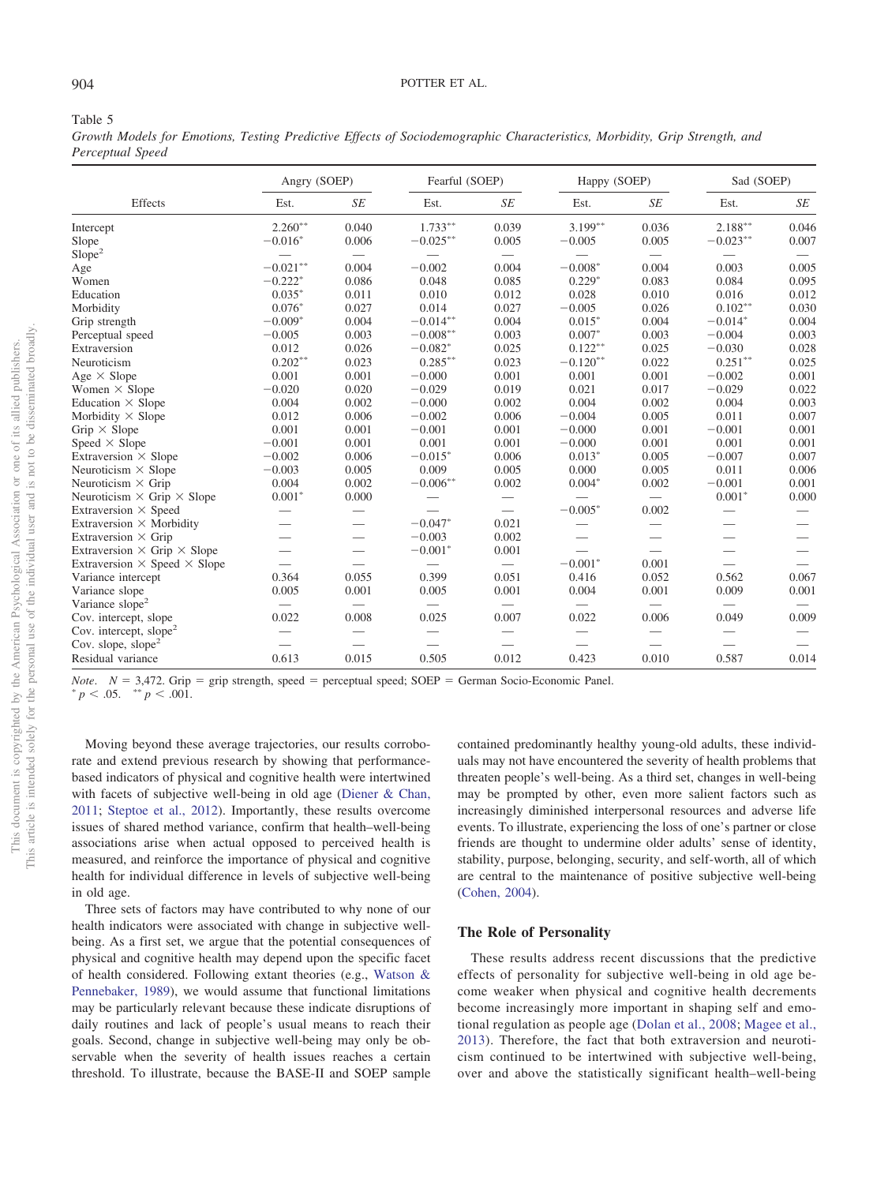## 904 POTTER ET AL.

#### <span id="page-10-0"></span>Table 5

*Growth Models for Emotions, Testing Predictive Effects of Sociodemographic Characteristics, Morbidity, Grip Strength, and Perceptual Speed*

|                                            | Angry (SOEP) |                          | Fearful (SOEP)           |                               | Happy (SOEP)             |       | Sad (SOEP) |                                 |
|--------------------------------------------|--------------|--------------------------|--------------------------|-------------------------------|--------------------------|-------|------------|---------------------------------|
| Effects                                    | Est.         | SE                       | Est.                     | $\sqrt{SE}$                   | Est.                     | SE    | Est.       | SE                              |
| Intercept                                  | $2.260**$    | 0.040                    | $1.733**$                | 0.039                         | $3.199**$                | 0.036 | 2.188**    | 0.046                           |
| Slope                                      | $-0.016*$    | 0.006                    | $-0.025**$               | 0.005                         | $-0.005$                 | 0.005 | $-0.023**$ | 0.007                           |
| Slope <sup>2</sup>                         |              |                          |                          | $\overbrace{\phantom{12333}}$ |                          |       |            |                                 |
| Age                                        | $-0.021**$   | 0.004                    | $-0.002$                 | 0.004                         | $-0.008*$                | 0.004 | 0.003      | 0.005                           |
| Women                                      | $-0.222*$    | 0.086                    | 0.048                    | 0.085                         | $0.229*$                 | 0.083 | 0.084      | 0.095                           |
| Education                                  | $0.035*$     | 0.011                    | 0.010                    | 0.012                         | 0.028                    | 0.010 | 0.016      | 0.012                           |
| Morbidity                                  | $0.076*$     | 0.027                    | 0.014                    | 0.027                         | $-0.005$                 | 0.026 | $0.102**$  | 0.030                           |
| Grip strength                              | $-0.009*$    | 0.004                    | $-0.014**$               | 0.004                         | $0.015*$                 | 0.004 | $-0.014*$  | 0.004                           |
| Perceptual speed                           | $-0.005$     | 0.003                    | $-0.008**$               | 0.003                         | $0.007*$                 | 0.003 | $-0.004$   | 0.003                           |
| Extraversion                               | 0.012        | 0.026                    | $-0.082*$                | 0.025                         | $0.122**$                | 0.025 | $-0.030$   | 0.028                           |
| Neuroticism                                | $0.202**$    | 0.023                    | $0.285***$               | 0.023                         | $-0.120**$               | 0.022 | $0.251***$ | 0.025                           |
| Age $\times$ Slope                         | 0.001        | 0.001                    | $-0.000$                 | 0.001                         | 0.001                    | 0.001 | $-0.002$   | 0.001                           |
| Women $\times$ Slope                       | $-0.020$     | 0.020                    | $-0.029$                 | 0.019                         | 0.021                    | 0.017 | $-0.029$   | 0.022                           |
| Education $\times$ Slope                   | 0.004        | 0.002                    | $-0.000$                 | 0.002                         | 0.004                    | 0.002 | 0.004      | 0.003                           |
| Morbidity $\times$ Slope                   | 0.012        | 0.006                    | $-0.002$                 | 0.006                         | $-0.004$                 | 0.005 | 0.011      | 0.007                           |
| Grip $\times$ Slope                        | 0.001        | 0.001                    | $-0.001$                 | 0.001                         | $-0.000$                 | 0.001 | $-0.001$   | 0.001                           |
| Speed $\times$ Slope                       | $-0.001$     | 0.001                    | 0.001                    | 0.001                         | $-0.000$                 | 0.001 | 0.001      | 0.001                           |
| Extraversion $\times$ Slope                | $-0.002$     | 0.006                    | $-0.015*$                | 0.006                         | $0.013*$                 | 0.005 | $-0.007$   | 0.007                           |
| Neuroticism $\times$ Slope                 | $-0.003$     | 0.005                    | 0.009                    | 0.005                         | 0.000                    | 0.005 | 0.011      | 0.006                           |
| Neuroticism $\times$ Grip                  | 0.004        | 0.002                    | $-0.006**$               | 0.002                         | $0.004*$                 | 0.002 | $-0.001$   | 0.001                           |
| Neuroticism $\times$ Grip $\times$ Slope   | $0.001*$     | 0.000                    |                          |                               |                          |       | $0.001*$   | 0.000                           |
| Extraversion $\times$ Speed                |              |                          |                          |                               | $-0.005*$                | 0.002 |            |                                 |
| Extraversion $\times$ Morbidity            |              | $\overline{\phantom{0}}$ | $-0.047*$                | 0.021                         |                          |       |            |                                 |
| Extraversion $\times$ Grip                 |              | $\overline{\phantom{0}}$ | $-0.003$                 | 0.002                         |                          |       |            |                                 |
| Extraversion $\times$ Grip $\times$ Slope  |              | $\overline{\phantom{0}}$ | $-0.001*$                | 0.001                         |                          |       |            | $\overbrace{\qquad \qquad }^{}$ |
| Extraversion $\times$ Speed $\times$ Slope |              |                          |                          | $\equiv$                      | $-0.001*$                | 0.001 |            |                                 |
| Variance intercept                         | 0.364        | 0.055                    | 0.399                    | 0.051                         | 0.416                    | 0.052 | 0.562      | 0.067                           |
| Variance slope                             | 0.005        | 0.001                    | 0.005                    | 0.001                         | 0.004                    | 0.001 | 0.009      | 0.001                           |
| Variance slope <sup>2</sup>                |              |                          |                          |                               |                          |       |            |                                 |
| Cov. intercept, slope                      | 0.022        | 0.008                    | 0.025                    | 0.007                         | 0.022                    | 0.006 | 0.049      | 0.009                           |
| Cov. intercept, slope <sup>2</sup>         |              |                          | $\overline{\phantom{0}}$ |                               | $\overline{\phantom{0}}$ |       |            |                                 |
| Cov. slope, slope <sup>2</sup>             |              |                          | $\overline{\phantom{0}}$ |                               | $\hspace{0.05cm}$        |       |            |                                 |
| Residual variance                          | 0.613        | 0.015                    | 0.505                    | 0.012                         | 0.423                    | 0.010 | 0.587      | 0.014                           |

*Note.*  $N = 3,472$ . Grip = grip strength, speed = perceptual speed; SOEP = German Socio-Economic Panel.<br>
\*  $p < .05$ . \*\*  $p < .001$ .

Moving beyond these average trajectories, our results corroborate and extend previous research by showing that performancebased indicators of physical and cognitive health were intertwined with facets of subjective well-being in old age [\(Diener & Chan,](#page-13-31) [2011;](#page-13-31) [Steptoe et al., 2012\)](#page-15-23). Importantly, these results overcome issues of shared method variance, confirm that health–well-being associations arise when actual opposed to perceived health is measured, and reinforce the importance of physical and cognitive health for individual difference in levels of subjective well-being in old age.

Three sets of factors may have contributed to why none of our health indicators were associated with change in subjective wellbeing. As a first set, we argue that the potential consequences of physical and cognitive health may depend upon the specific facet of health considered. Following extant theories (e.g., [Watson &](#page-15-0) [Pennebaker, 1989\)](#page-15-0), we would assume that functional limitations may be particularly relevant because these indicate disruptions of daily routines and lack of people's usual means to reach their goals. Second, change in subjective well-being may only be observable when the severity of health issues reaches a certain threshold. To illustrate, because the BASE-II and SOEP sample contained predominantly healthy young-old adults, these individuals may not have encountered the severity of health problems that threaten people's well-being. As a third set, changes in well-being may be prompted by other, even more salient factors such as increasingly diminished interpersonal resources and adverse life events. To illustrate, experiencing the loss of one's partner or close friends are thought to undermine older adults' sense of identity, stability, purpose, belonging, security, and self-worth, all of which are central to the maintenance of positive subjective well-being [\(Cohen, 2004\)](#page-12-20).

# **The Role of Personality**

These results address recent discussions that the predictive effects of personality for subjective well-being in old age become weaker when physical and cognitive health decrements become increasingly more important in shaping self and emotional regulation as people age [\(Dolan et al., 2008;](#page-13-10) [Magee et al.,](#page-14-11) [2013\)](#page-14-11). Therefore, the fact that both extraversion and neuroticism continued to be intertwined with subjective well-being, over and above the statistically significant health–well-being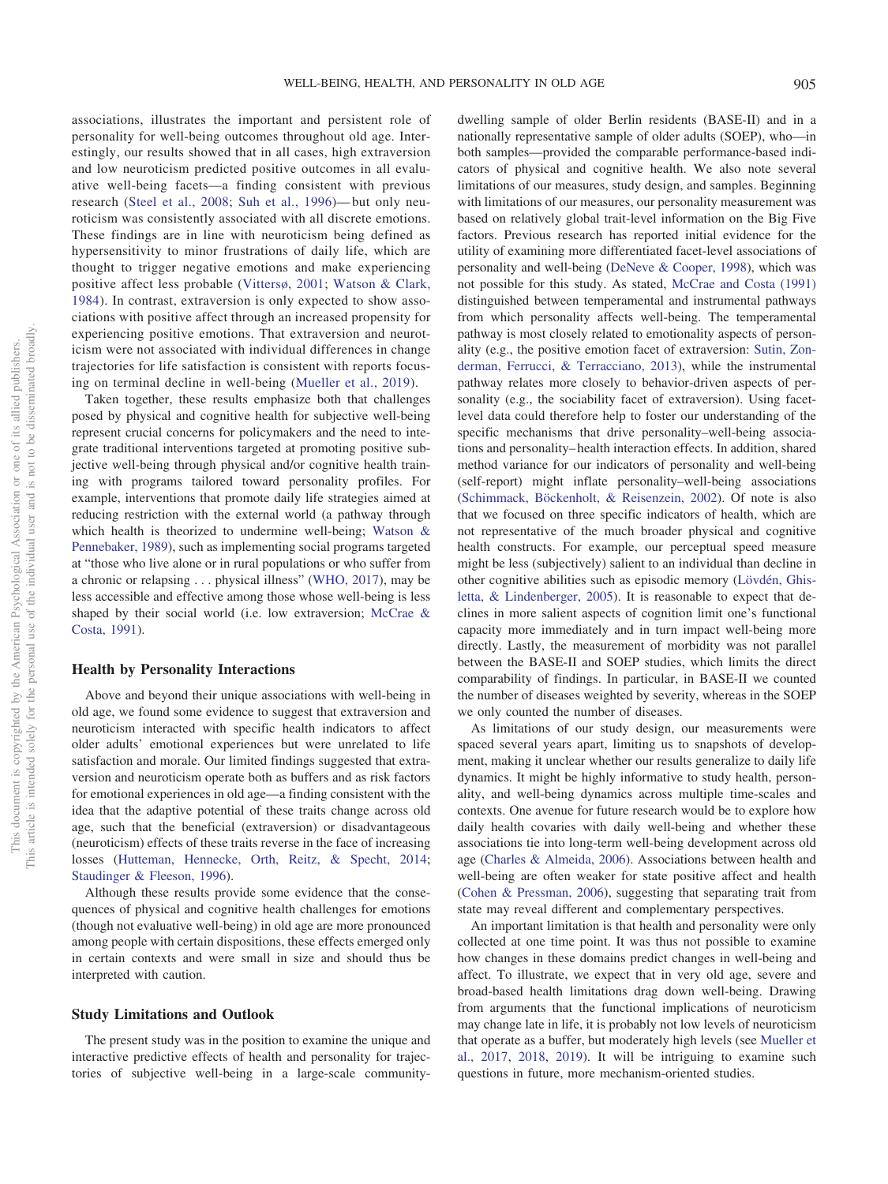associations, illustrates the important and persistent role of personality for well-being outcomes throughout old age. Interestingly, our results showed that in all cases, high extraversion and low neuroticism predicted positive outcomes in all evaluative well-being facets—a finding consistent with previous research [\(Steel et al., 2008;](#page-15-6) [Suh et al., 1996\)](#page-15-7)— but only neuroticism was consistently associated with all discrete emotions. These findings are in line with neuroticism being defined as hypersensitivity to minor frustrations of daily life, which are thought to trigger negative emotions and make experiencing positive affect less probable [\(Vittersø, 2001;](#page-15-8) [Watson & Clark,](#page-15-10) [1984\)](#page-15-10). In contrast, extraversion is only expected to show associations with positive affect through an increased propensity for experiencing positive emotions. That extraversion and neuroticism were not associated with individual differences in change trajectories for life satisfaction is consistent with reports focusing on terminal decline in well-being [\(Mueller et al., 2019\)](#page-15-11).

Taken together, these results emphasize both that challenges posed by physical and cognitive health for subjective well-being represent crucial concerns for policymakers and the need to integrate traditional interventions targeted at promoting positive subjective well-being through physical and/or cognitive health training with programs tailored toward personality profiles. For example, interventions that promote daily life strategies aimed at reducing restriction with the external world (a pathway through which health is theorized to undermine well-being; [Watson &](#page-15-0) [Pennebaker, 1989\)](#page-15-0), such as implementing social programs targeted at "those who live alone or in rural populations or who suffer from a chronic or relapsing . . . physical illness" [\(WHO, 2017\)](#page-15-25), may be less accessible and effective among those whose well-being is less shaped by their social world (i.e. low extraversion; [McCrae &](#page-14-8) [Costa, 1991\)](#page-14-8).

## **Health by Personality Interactions**

Above and beyond their unique associations with well-being in old age, we found some evidence to suggest that extraversion and neuroticism interacted with specific health indicators to affect older adults' emotional experiences but were unrelated to life satisfaction and morale. Our limited findings suggested that extraversion and neuroticism operate both as buffers and as risk factors for emotional experiences in old age—a finding consistent with the idea that the adaptive potential of these traits change across old age, such that the beneficial (extraversion) or disadvantageous (neuroticism) effects of these traits reverse in the face of increasing losses [\(Hutteman, Hennecke, Orth, Reitz, & Specht, 2014;](#page-13-33) [Staudinger & Fleeson, 1996\)](#page-15-26).

Although these results provide some evidence that the consequences of physical and cognitive health challenges for emotions (though not evaluative well-being) in old age are more pronounced among people with certain dispositions, these effects emerged only in certain contexts and were small in size and should thus be interpreted with caution.

## **Study Limitations and Outlook**

The present study was in the position to examine the unique and interactive predictive effects of health and personality for trajectories of subjective well-being in a large-scale communitydwelling sample of older Berlin residents (BASE-II) and in a nationally representative sample of older adults (SOEP), who—in both samples—provided the comparable performance-based indicators of physical and cognitive health. We also note several limitations of our measures, study design, and samples. Beginning with limitations of our measures, our personality measurement was based on relatively global trait-level information on the Big Five factors. Previous research has reported initial evidence for the utility of examining more differentiated facet-level associations of personality and well-being [\(DeNeve & Cooper, 1998\)](#page-13-1), which was not possible for this study. As stated, [McCrae and Costa \(1991\)](#page-14-8) distinguished between temperamental and instrumental pathways from which personality affects well-being. The temperamental pathway is most closely related to emotionality aspects of personality (e.g., the positive emotion facet of extraversion: [Sutin, Zon](#page-15-27)[derman, Ferrucci, & Terracciano, 2013\)](#page-15-27), while the instrumental pathway relates more closely to behavior-driven aspects of personality (e.g., the sociability facet of extraversion). Using facetlevel data could therefore help to foster our understanding of the specific mechanisms that drive personality–well-being associations and personality– health interaction effects. In addition, shared method variance for our indicators of personality and well-being (self-report) might inflate personality–well-being associations [\(Schimmack, Böckenholt, & Reisenzein, 2002\)](#page-15-28). Of note is also that we focused on three specific indicators of health, which are not representative of the much broader physical and cognitive health constructs. For example, our perceptual speed measure might be less (subjectively) salient to an individual than decline in other cognitive abilities such as episodic memory [\(Lövdén, Ghis](#page-14-31)[letta, & Lindenberger, 2005\)](#page-14-31). It is reasonable to expect that declines in more salient aspects of cognition limit one's functional capacity more immediately and in turn impact well-being more directly. Lastly, the measurement of morbidity was not parallel between the BASE-II and SOEP studies, which limits the direct comparability of findings. In particular, in BASE-II we counted the number of diseases weighted by severity, whereas in the SOEP we only counted the number of diseases.

As limitations of our study design, our measurements were spaced several years apart, limiting us to snapshots of development, making it unclear whether our results generalize to daily life dynamics. It might be highly informative to study health, personality, and well-being dynamics across multiple time-scales and contexts. One avenue for future research would be to explore how daily health covaries with daily well-being and whether these associations tie into long-term well-being development across old age [\(Charles & Almeida, 2006\)](#page-12-21). Associations between health and well-being are often weaker for state positive affect and health [\(Cohen & Pressman, 2006\)](#page-12-22), suggesting that separating trait from state may reveal different and complementary perspectives.

An important limitation is that health and personality were only collected at one time point. It was thus not possible to examine how changes in these domains predict changes in well-being and affect. To illustrate, we expect that in very old age, severe and broad-based health limitations drag down well-being. Drawing from arguments that the functional implications of neuroticism may change late in life, it is probably not low levels of neuroticism that operate as a buffer, but moderately high levels (see [Mueller et](#page-14-18) [al., 2017,](#page-14-18) [2018,](#page-14-32) [2019\)](#page-15-11). It will be intriguing to examine such questions in future, more mechanism-oriented studies.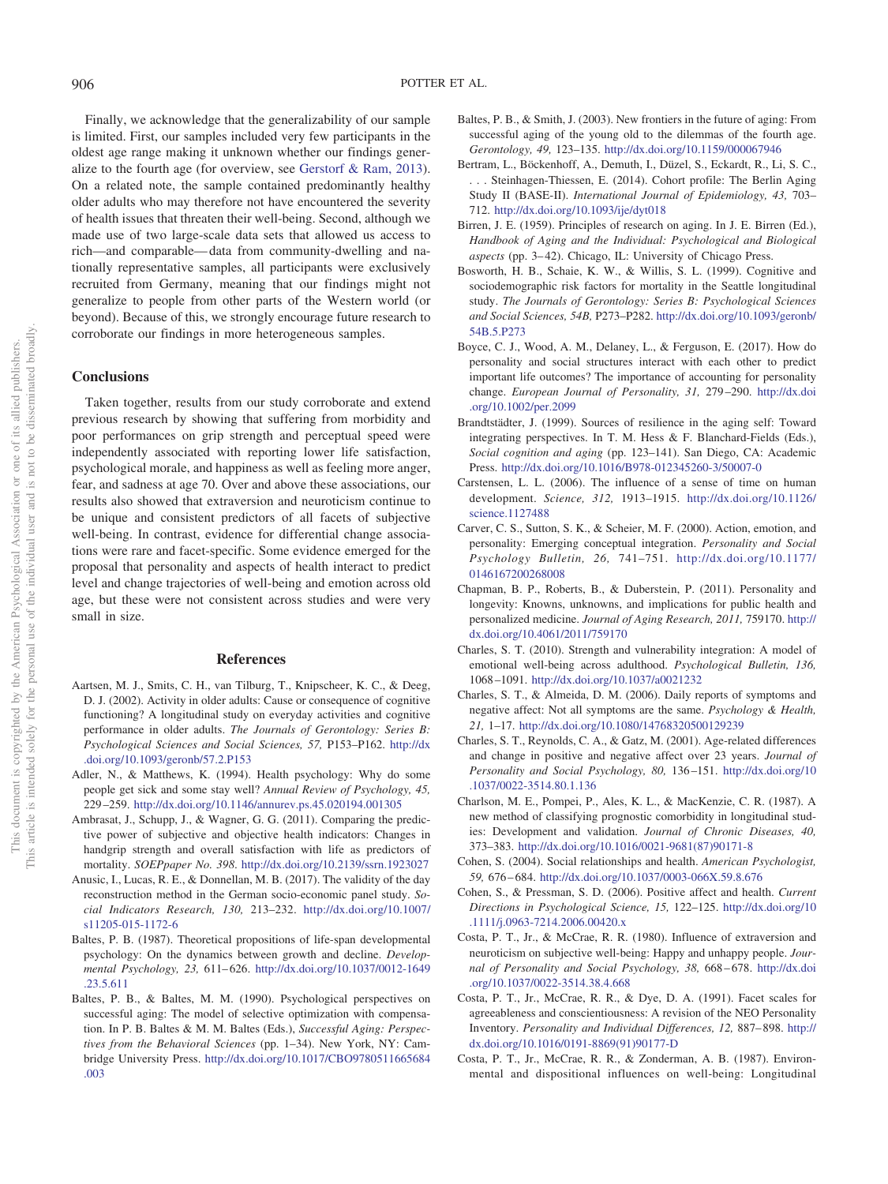Finally, we acknowledge that the generalizability of our sample is limited. First, our samples included very few participants in the oldest age range making it unknown whether our findings generalize to the fourth age (for overview, see [Gerstorf & Ram, 2013\)](#page-13-4). On a related note, the sample contained predominantly healthy older adults who may therefore not have encountered the severity of health issues that threaten their well-being. Second, although we made use of two large-scale data sets that allowed us access to rich—and comparable— data from community-dwelling and nationally representative samples, all participants were exclusively recruited from Germany, meaning that our findings might not generalize to people from other parts of the Western world (or beyond). Because of this, we strongly encourage future research to corroborate our findings in more heterogeneous samples.

# **Conclusions**

Taken together, results from our study corroborate and extend previous research by showing that suffering from morbidity and poor performances on grip strength and perceptual speed were independently associated with reporting lower life satisfaction, psychological morale, and happiness as well as feeling more anger, fear, and sadness at age 70. Over and above these associations, our results also showed that extraversion and neuroticism continue to be unique and consistent predictors of all facets of subjective well-being. In contrast, evidence for differential change associations were rare and facet-specific. Some evidence emerged for the proposal that personality and aspects of health interact to predict level and change trajectories of well-being and emotion across old age, but these were not consistent across studies and were very small in size.

#### **References**

- <span id="page-12-10"></span>Aartsen, M. J., Smits, C. H., van Tilburg, T., Knipscheer, K. C., & Deeg, D. J. (2002). Activity in older adults: Cause or consequence of cognitive functioning? A longitudinal study on everyday activities and cognitive performance in older adults. *The Journals of Gerontology: Series B: Psychological Sciences and Social Sciences, 57,* P153–P162. [http://dx](http://dx.doi.org/10.1093/geronb/57.2.P153) [.doi.org/10.1093/geronb/57.2.P153](http://dx.doi.org/10.1093/geronb/57.2.P153)
- <span id="page-12-8"></span>Adler, N., & Matthews, K. (1994). Health psychology: Why do some people get sick and some stay well? *Annual Review of Psychology, 45,* 229 –259. <http://dx.doi.org/10.1146/annurev.ps.45.020194.001305>
- <span id="page-12-9"></span>Ambrasat, J., Schupp, J., & Wagner, G. G. (2011). Comparing the predictive power of subjective and objective health indicators: Changes in handgrip strength and overall satisfaction with life as predictors of mortality. *SOEPpaper No. 398*. <http://dx.doi.org/10.2139/ssrn.1923027>
- <span id="page-12-16"></span>Anusic, I., Lucas, R. E., & Donnellan, M. B. (2017). The validity of the day reconstruction method in the German socio-economic panel study. *Social Indicators Research, 130,* 213–232. [http://dx.doi.org/10.1007/](http://dx.doi.org/10.1007/s11205-015-1172-6) [s11205-015-1172-6](http://dx.doi.org/10.1007/s11205-015-1172-6)
- <span id="page-12-19"></span>Baltes, P. B. (1987). Theoretical propositions of life-span developmental psychology: On the dynamics between growth and decline. *Developmental Psychology, 23,* 611– 626. [http://dx.doi.org/10.1037/0012-1649](http://dx.doi.org/10.1037/0012-1649.23.5.611) [.23.5.611](http://dx.doi.org/10.1037/0012-1649.23.5.611)
- <span id="page-12-3"></span>Baltes, P. B., & Baltes, M. M. (1990). Psychological perspectives on successful aging: The model of selective optimization with compensation. In P. B. Baltes & M. M. Baltes (Eds.), *Successful Aging: Perspectives from the Behavioral Sciences* (pp. 1–34). New York, NY: Cambridge University Press. [http://dx.doi.org/10.1017/CBO9780511665684](http://dx.doi.org/10.1017/CBO9780511665684.003) [.003](http://dx.doi.org/10.1017/CBO9780511665684.003)
- <span id="page-12-5"></span>Baltes, P. B., & Smith, J. (2003). New frontiers in the future of aging: From successful aging of the young old to the dilemmas of the fourth age. *Gerontology, 49,* 123–135. <http://dx.doi.org/10.1159/000067946>
- <span id="page-12-15"></span>Bertram, L., Böckenhoff, A., Demuth, I., Düzel, S., Eckardt, R., Li, S. C., . . . Steinhagen-Thiessen, E. (2014). Cohort profile: The Berlin Aging Study II (BASE-II). *International Journal of Epidemiology, 43,* 703– 712. <http://dx.doi.org/10.1093/ije/dyt018>
- <span id="page-12-6"></span>Birren, J. E. (1959). Principles of research on aging. In J. E. Birren (Ed.), *Handbook of Aging and the Individual: Psychological and Biological* aspects (pp. 3-42). Chicago, IL: University of Chicago Press.
- <span id="page-12-11"></span>Bosworth, H. B., Schaie, K. W., & Willis, S. L. (1999). Cognitive and sociodemographic risk factors for mortality in the Seattle longitudinal study. *The Journals of Gerontology: Series B: Psychological Sciences and Social Sciences, 54B,* P273–P282. [http://dx.doi.org/10.1093/geronb/](http://dx.doi.org/10.1093/geronb/54B.5.P273) [54B.5.P273](http://dx.doi.org/10.1093/geronb/54B.5.P273)
- <span id="page-12-7"></span>Boyce, C. J., Wood, A. M., Delaney, L., & Ferguson, E. (2017). How do personality and social structures interact with each other to predict important life outcomes? The importance of accounting for personality change. *European Journal of Personality, 31,* 279 –290. [http://dx.doi](http://dx.doi.org/10.1002/per.2099) [.org/10.1002/per.2099](http://dx.doi.org/10.1002/per.2099)
- <span id="page-12-2"></span>Brandtstädter, J. (1999). Sources of resilience in the aging self: Toward integrating perspectives. In T. M. Hess & F. Blanchard-Fields (Eds.), *Social cognition and aging* (pp. 123–141). San Diego, CA: Academic Press. <http://dx.doi.org/10.1016/B978-012345260-3/50007-0>
- <span id="page-12-4"></span>Carstensen, L. L. (2006). The influence of a sense of time on human development. *Science, 312,* 1913–1915. [http://dx.doi.org/10.1126/](http://dx.doi.org/10.1126/science.1127488) [science.1127488](http://dx.doi.org/10.1126/science.1127488)
- <span id="page-12-14"></span>Carver, C. S., Sutton, S. K., & Scheier, M. F. (2000). Action, emotion, and personality: Emerging conceptual integration. *Personality and Social Psychology Bulletin, 26,* 741–751. [http://dx.doi.org/10.1177/](http://dx.doi.org/10.1177/0146167200268008) [0146167200268008](http://dx.doi.org/10.1177/0146167200268008)
- <span id="page-12-13"></span>Chapman, B. P., Roberts, B., & Duberstein, P. (2011). Personality and longevity: Knowns, unknowns, and implications for public health and personalized medicine. *Journal of Aging Research, 2011,* 759170. [http://](http://dx.doi.org/10.4061/2011/759170) [dx.doi.org/10.4061/2011/759170](http://dx.doi.org/10.4061/2011/759170)
- <span id="page-12-1"></span>Charles, S. T. (2010). Strength and vulnerability integration: A model of emotional well-being across adulthood. *Psychological Bulletin, 136,* 1068 –1091. <http://dx.doi.org/10.1037/a0021232>
- <span id="page-12-21"></span>Charles, S. T., & Almeida, D. M. (2006). Daily reports of symptoms and negative affect: Not all symptoms are the same. *Psychology & Health, 21,* 1–17. <http://dx.doi.org/10.1080/14768320500129239>
- <span id="page-12-0"></span>Charles, S. T., Reynolds, C. A., & Gatz, M. (2001). Age-related differences and change in positive and negative affect over 23 years. *Journal of Personality and Social Psychology, 80,* 136 –151. [http://dx.doi.org/10](http://dx.doi.org/10.1037/0022-3514.80.1.136) [.1037/0022-3514.80.1.136](http://dx.doi.org/10.1037/0022-3514.80.1.136)
- <span id="page-12-17"></span>Charlson, M. E., Pompei, P., Ales, K. L., & MacKenzie, C. R. (1987). A new method of classifying prognostic comorbidity in longitudinal studies: Development and validation. *Journal of Chronic Diseases, 40,* 373–383. [http://dx.doi.org/10.1016/0021-9681\(87\)90171-8](http://dx.doi.org/10.1016/0021-9681%2887%2990171-8)
- <span id="page-12-20"></span>Cohen, S. (2004). Social relationships and health. *American Psychologist, 59,* 676 – 684. <http://dx.doi.org/10.1037/0003-066X.59.8.676>
- <span id="page-12-22"></span>Cohen, S., & Pressman, S. D. (2006). Positive affect and health. *Current Directions in Psychological Science, 15,* 122–125. [http://dx.doi.org/10](http://dx.doi.org/10.1111/j.0963-7214.2006.00420.x) [.1111/j.0963-7214.2006.00420.x](http://dx.doi.org/10.1111/j.0963-7214.2006.00420.x)
- <span id="page-12-12"></span>Costa, P. T., Jr., & McCrae, R. R. (1980). Influence of extraversion and neuroticism on subjective well-being: Happy and unhappy people. *Journal of Personality and Social Psychology, 38,* 668 – 678. [http://dx.doi](http://dx.doi.org/10.1037/0022-3514.38.4.668) [.org/10.1037/0022-3514.38.4.668](http://dx.doi.org/10.1037/0022-3514.38.4.668)
- Costa, P. T., Jr., McCrae, R. R., & Dye, D. A. (1991). Facet scales for agreeableness and conscientiousness: A revision of the NEO Personality Inventory. *Personality and Individual Differences, 12,* 887– 898. [http://](http://dx.doi.org/10.1016/0191-8869%2891%2990177-D) [dx.doi.org/10.1016/0191-8869\(91\)90177-D](http://dx.doi.org/10.1016/0191-8869%2891%2990177-D)
- <span id="page-12-18"></span>Costa, P. T., Jr., McCrae, R. R., & Zonderman, A. B. (1987). Environmental and dispositional influences on well-being: Longitudinal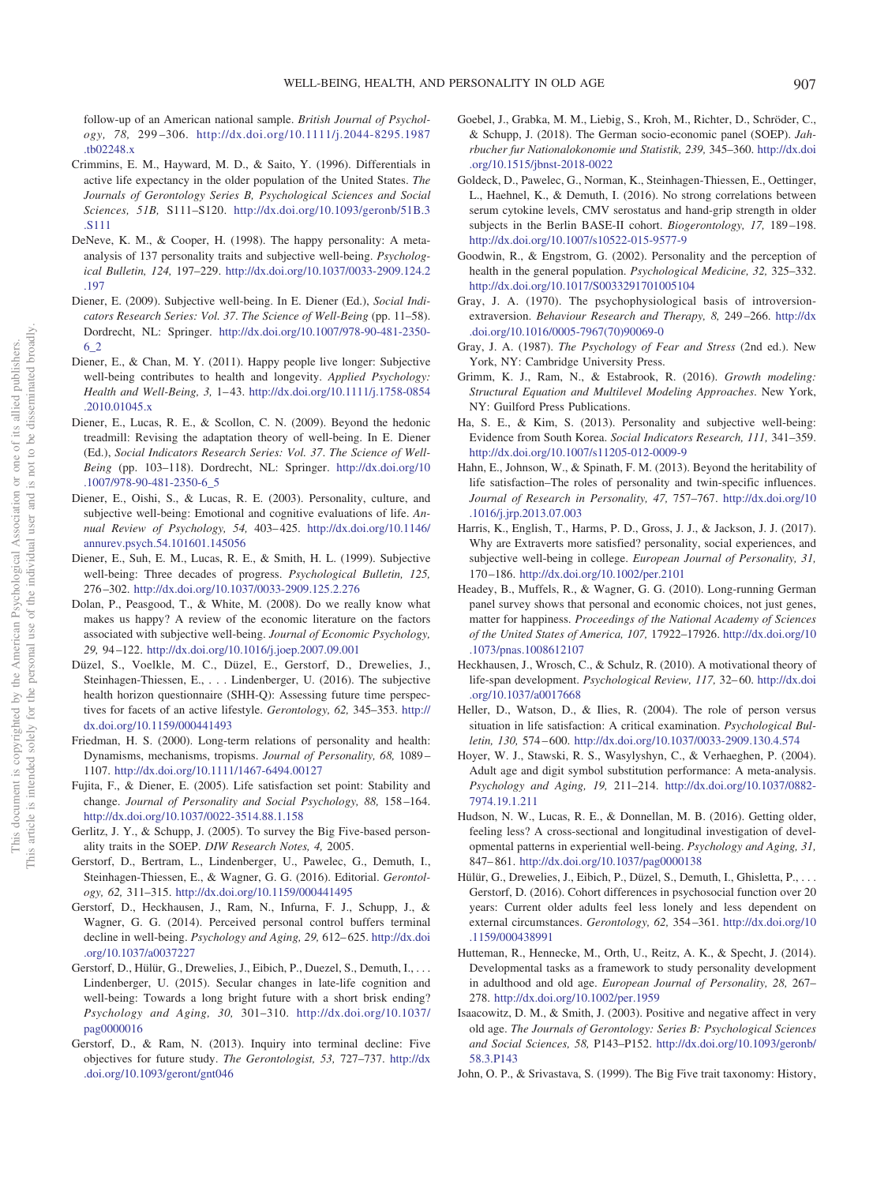follow-up of an American national sample. *British Journal of Psychology, 78,* 299 –306. [http://dx.doi.org/10.1111/j.2044-8295.1987](http://dx.doi.org/10.1111/j.2044-8295.1987.tb02248.x) [.tb02248.x](http://dx.doi.org/10.1111/j.2044-8295.1987.tb02248.x)

- <span id="page-13-5"></span>Crimmins, E. M., Hayward, M. D., & Saito, Y. (1996). Differentials in active life expectancy in the older population of the United States. *The Journals of Gerontology Series B, Psychological Sciences and Social Sciences, 51B,* S111–S120. [http://dx.doi.org/10.1093/geronb/51B.3](http://dx.doi.org/10.1093/geronb/51B.3.S111) [.S111](http://dx.doi.org/10.1093/geronb/51B.3.S111)
- <span id="page-13-1"></span>DeNeve, K. M., & Cooper, H. (1998). The happy personality: A metaanalysis of 137 personality traits and subjective well-being. *Psychological Bulletin, 124,* 197–229. [http://dx.doi.org/10.1037/0033-2909.124.2](http://dx.doi.org/10.1037/0033-2909.124.2.197) [.197](http://dx.doi.org/10.1037/0033-2909.124.2.197)
- <span id="page-13-3"></span>Diener, E. (2009). Subjective well-being. In E. Diener (Ed.), *Social Indicators Research Series: Vol. 37*. *The Science of Well-Being* (pp. 11–58). Dordrecht, NL: Springer. [http://dx.doi.org/10.1007/978-90-481-2350-](http://dx.doi.org/10.1007/978-90-481-2350-6_2) [6\\_2](http://dx.doi.org/10.1007/978-90-481-2350-6_2)
- <span id="page-13-31"></span>Diener, E., & Chan, M. Y. (2011). Happy people live longer: Subjective well-being contributes to health and longevity. *Applied Psychology: Health and Well-Being, 3,* 1– 43. [http://dx.doi.org/10.1111/j.1758-0854](http://dx.doi.org/10.1111/j.1758-0854.2010.01045.x) [.2010.01045.x](http://dx.doi.org/10.1111/j.1758-0854.2010.01045.x)
- <span id="page-13-0"></span>Diener, E., Lucas, R. E., & Scollon, C. N. (2009). Beyond the hedonic treadmill: Revising the adaptation theory of well-being. In E. Diener (Ed.), *Social Indicators Research Series: Vol. 37*. *The Science of Well-Being* (pp. 103–118). Dordrecht, NL: Springer. [http://dx.doi.org/10](http://dx.doi.org/10.1007/978-90-481-2350-6_5) [.1007/978-90-481-2350-6\\_5](http://dx.doi.org/10.1007/978-90-481-2350-6_5)
- <span id="page-13-2"></span>Diener, E., Oishi, S., & Lucas, R. E. (2003). Personality, culture, and subjective well-being: Emotional and cognitive evaluations of life. *Annual Review of Psychology, 54,* 403– 425. [http://dx.doi.org/10.1146/](http://dx.doi.org/10.1146/annurev.psych.54.101601.145056) [annurev.psych.54.101601.145056](http://dx.doi.org/10.1146/annurev.psych.54.101601.145056)
- <span id="page-13-25"></span>Diener, E., Suh, E. M., Lucas, R. E., & Smith, H. L. (1999). Subjective well-being: Three decades of progress. *Psychological Bulletin, 125,* 276 –302. <http://dx.doi.org/10.1037/0033-2909.125.2.276>
- <span id="page-13-10"></span>Dolan, P., Peasgood, T., & White, M. (2008). Do we really know what makes us happy? A review of the economic literature on the factors associated with subjective well-being. *Journal of Economic Psychology, 29,* 94 –122. <http://dx.doi.org/10.1016/j.joep.2007.09.001>
- <span id="page-13-20"></span>Düzel, S., Voelkle, M. C., Düzel, E., Gerstorf, D., Drewelies, J., Steinhagen-Thiessen, E.,... Lindenberger, U. (2016). The subjective health horizon questionnaire (SHH-Q): Assessing future time perspectives for facets of an active lifestyle. *Gerontology, 62,* 345–353. [http://](http://dx.doi.org/10.1159/000441493) [dx.doi.org/10.1159/000441493](http://dx.doi.org/10.1159/000441493)
- <span id="page-13-15"></span>Friedman, H. S. (2000). Long-term relations of personality and health: Dynamisms, mechanisms, tropisms. *Journal of Personality, 68,* 1089 – 1107. <http://dx.doi.org/10.1111/1467-6494.00127>
- <span id="page-13-23"></span>Fujita, F., & Diener, E. (2005). Life satisfaction set point: Stability and change. *Journal of Personality and Social Psychology, 88,* 158 –164. <http://dx.doi.org/10.1037/0022-3514.88.1.158>
- <span id="page-13-29"></span>Gerlitz, J. Y., & Schupp, J. (2005). To survey the Big Five-based personality traits in the SOEP. *DIW Research Notes, 4,* 2005.
- <span id="page-13-17"></span>Gerstorf, D., Bertram, L., Lindenberger, U., Pawelec, G., Demuth, I., Steinhagen-Thiessen, E., & Wagner, G. G. (2016). Editorial. *Gerontology, 62,* 311–315. <http://dx.doi.org/10.1159/000441495>
- <span id="page-13-22"></span>Gerstorf, D., Heckhausen, J., Ram, N., Infurna, F. J., Schupp, J., & Wagner, G. G. (2014). Perceived personal control buffers terminal decline in well-being. *Psychology and Aging, 29,* 612– 625. [http://dx.doi](http://dx.doi.org/10.1037/a0037227) [.org/10.1037/a0037227](http://dx.doi.org/10.1037/a0037227)
- <span id="page-13-19"></span>Gerstorf, D., Hülür, G., Drewelies, J., Eibich, P., Duezel, S., Demuth, I.,... Lindenberger, U. (2015). Secular changes in late-life cognition and well-being: Towards a long bright future with a short brisk ending? *Psychology and Aging, 30,* 301–310. [http://dx.doi.org/10.1037/](http://dx.doi.org/10.1037/pag0000016) [pag0000016](http://dx.doi.org/10.1037/pag0000016)
- <span id="page-13-4"></span>Gerstorf, D., & Ram, N. (2013). Inquiry into terminal decline: Five objectives for future study. *The Gerontologist, 53,* 727–737. [http://dx](http://dx.doi.org/10.1093/geront/gnt046) [.doi.org/10.1093/geront/gnt046](http://dx.doi.org/10.1093/geront/gnt046)
- <span id="page-13-18"></span>Goebel, J., Grabka, M. M., Liebig, S., Kroh, M., Richter, D., Schröder, C., & Schupp, J. (2018). The German socio-economic panel (SOEP). *Jahrbucher fur Nationalokonomie und Statistik, 239,* 345–360. [http://dx.doi](http://dx.doi.org/10.1515/jbnst-2018-0022) [.org/10.1515/jbnst-2018-0022](http://dx.doi.org/10.1515/jbnst-2018-0022)
- <span id="page-13-27"></span>Goldeck, D., Pawelec, G., Norman, K., Steinhagen-Thiessen, E., Oettinger, L., Haehnel, K., & Demuth, I. (2016). No strong correlations between serum cytokine levels, CMV serostatus and hand-grip strength in older subjects in the Berlin BASE-II cohort. *Biogerontology, 17,* 189 –198. <http://dx.doi.org/10.1007/s10522-015-9577-9>
- <span id="page-13-13"></span>Goodwin, R., & Engstrom, G. (2002). Personality and the perception of health in the general population. *Psychological Medicine, 32,* 325–332. <http://dx.doi.org/10.1017/S0033291701005104>
- <span id="page-13-8"></span>Gray, J. A. (1970). The psychophysiological basis of introversionextraversion. *Behaviour Research and Therapy, 8,* 249 –266. [http://dx](http://dx.doi.org/10.1016/0005-7967%2870%2990069-0) [.doi.org/10.1016/0005-7967\(70\)90069-0](http://dx.doi.org/10.1016/0005-7967%2870%2990069-0)
- <span id="page-13-9"></span>Gray, J. A. (1987). *The Psychology of Fear and Stress* (2nd ed.). New York, NY: Cambridge University Press.
- <span id="page-13-30"></span>Grimm, K. J., Ram, N., & Estabrook, R. (2016). *Growth modeling: Structural Equation and Multilevel Modeling Approaches*. New York, NY: Guilford Press Publications.
- <span id="page-13-12"></span>Ha, S. E., & Kim, S. (2013). Personality and subjective well-being: Evidence from South Korea. *Social Indicators Research, 111,* 341–359. <http://dx.doi.org/10.1007/s11205-012-0009-9>
- <span id="page-13-11"></span>Hahn, E., Johnson, W., & Spinath, F. M. (2013). Beyond the heritability of life satisfaction–The roles of personality and twin-specific influences. *Journal of Research in Personality, 47,* 757–767. [http://dx.doi.org/10](http://dx.doi.org/10.1016/j.jrp.2013.07.003) [.1016/j.jrp.2013.07.003](http://dx.doi.org/10.1016/j.jrp.2013.07.003)
- <span id="page-13-7"></span>Harris, K., English, T., Harms, P. D., Gross, J. J., & Jackson, J. J. (2017). Why are Extraverts more satisfied? personality, social experiences, and subjective well-being in college. *European Journal of Personality, 31,* 170 –186. <http://dx.doi.org/10.1002/per.2101>
- <span id="page-13-24"></span>Headey, B., Muffels, R., & Wagner, G. G. (2010). Long-running German panel survey shows that personal and economic choices, not just genes, matter for happiness. *Proceedings of the National Academy of Sciences of the United States of America, 107,* 17922–17926. [http://dx.doi.org/10](http://dx.doi.org/10.1073/pnas.1008612107) [.1073/pnas.1008612107](http://dx.doi.org/10.1073/pnas.1008612107)
- <span id="page-13-16"></span>Heckhausen, J., Wrosch, C., & Schulz, R. (2010). A motivational theory of life-span development. *Psychological Review, 117,* 32– 60. [http://dx.doi](http://dx.doi.org/10.1037/a0017668) [.org/10.1037/a0017668](http://dx.doi.org/10.1037/a0017668)
- <span id="page-13-6"></span>Heller, D., Watson, D., & Ilies, R. (2004). The role of person versus situation in life satisfaction: A critical examination. *Psychological Bulletin, 130,* 574 – 600. <http://dx.doi.org/10.1037/0033-2909.130.4.574>
- <span id="page-13-14"></span>Hoyer, W. J., Stawski, R. S., Wasylyshyn, C., & Verhaeghen, P. (2004). Adult age and digit symbol substitution performance: A meta-analysis. *Psychology and Aging, 19,* 211–214. [http://dx.doi.org/10.1037/0882-](http://dx.doi.org/10.1037/0882-7974.19.1.211) [7974.19.1.211](http://dx.doi.org/10.1037/0882-7974.19.1.211)
- <span id="page-13-26"></span>Hudson, N. W., Lucas, R. E., & Donnellan, M. B. (2016). Getting older, feeling less? A cross-sectional and longitudinal investigation of developmental patterns in experiential well-being. *Psychology and Aging, 31,* 847– 861. <http://dx.doi.org/10.1037/pag0000138>
- <span id="page-13-21"></span>Hülür, G., Drewelies, J., Eibich, P., Düzel, S., Demuth, I., Ghisletta, P.,... Gerstorf, D. (2016). Cohort differences in psychosocial function over 20 years: Current older adults feel less lonely and less dependent on external circumstances. *Gerontology, 62,* 354 –361. [http://dx.doi.org/10](http://dx.doi.org/10.1159/000438991) [.1159/000438991](http://dx.doi.org/10.1159/000438991)
- <span id="page-13-33"></span>Hutteman, R., Hennecke, M., Orth, U., Reitz, A. K., & Specht, J. (2014). Developmental tasks as a framework to study personality development in adulthood and old age. *European Journal of Personality, 28,* 267– 278. <http://dx.doi.org/10.1002/per.1959>
- <span id="page-13-32"></span>Isaacowitz, D. M., & Smith, J. (2003). Positive and negative affect in very old age. *The Journals of Gerontology: Series B: Psychological Sciences and Social Sciences, 58,* P143–P152. [http://dx.doi.org/10.1093/geronb/](http://dx.doi.org/10.1093/geronb/58.3.P143) [58.3.P143](http://dx.doi.org/10.1093/geronb/58.3.P143)
- <span id="page-13-28"></span>John, O. P., & Srivastava, S. (1999). The Big Five trait taxonomy: History,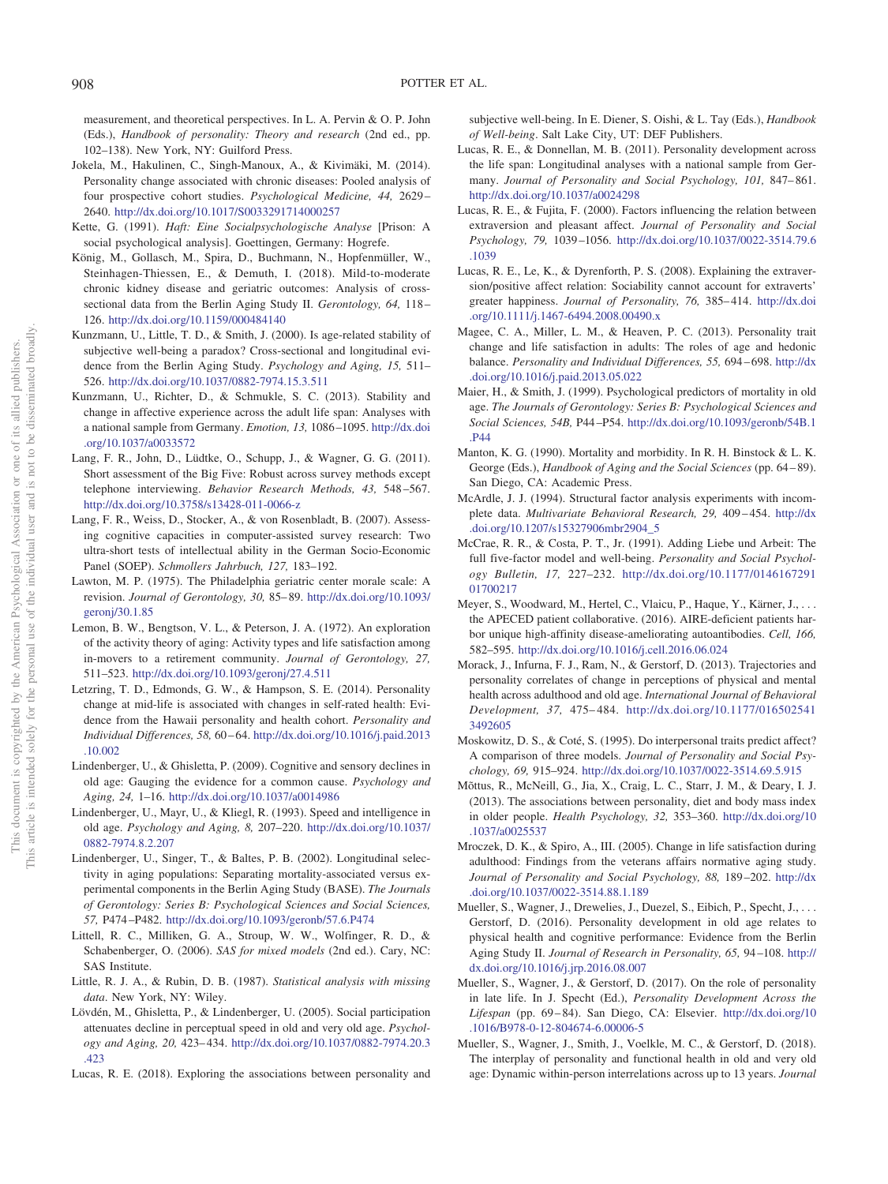measurement, and theoretical perspectives. In L. A. Pervin & O. P. John (Eds.), *Handbook of personality: Theory and research* (2nd ed., pp. 102–138). New York, NY: Guilford Press.

- <span id="page-14-2"></span>Jokela, M., Hakulinen, C., Singh-Manoux, A., & Kivimäki, M. (2014). Personality change associated with chronic diseases: Pooled analysis of four prospective cohort studies. *Psychological Medicine, 44,* 2629 – 2640. <http://dx.doi.org/10.1017/S0033291714000257>
- <span id="page-14-19"></span>Kette, G. (1991). *Haft: Eine Socialpsychologische Analyse* [Prison: A social psychological analysis]. Goettingen, Germany: Hogrefe.
- <span id="page-14-20"></span>König, M., Gollasch, M., Spira, D., Buchmann, N., Hopfenmüller, W., Steinhagen-Thiessen, E., & Demuth, I. (2018). Mild-to-moderate chronic kidney disease and geriatric outcomes: Analysis of crosssectional data from the Berlin Aging Study II. *Gerontology, 64,* 118 – 126. <http://dx.doi.org/10.1159/000484140>
- <span id="page-14-0"></span>Kunzmann, U., Little, T. D., & Smith, J. (2000). Is age-related stability of subjective well-being a paradox? Cross-sectional and longitudinal evidence from the Berlin Aging Study. *Psychology and Aging, 15,* 511– 526. <http://dx.doi.org/10.1037/0882-7974.15.3.511>
- <span id="page-14-24"></span>Kunzmann, U., Richter, D., & Schmukle, S. C. (2013). Stability and change in affective experience across the adult life span: Analyses with a national sample from Germany. *Emotion, 13,* 1086 –1095. [http://dx.doi](http://dx.doi.org/10.1037/a0033572) [.org/10.1037/a0033572](http://dx.doi.org/10.1037/a0033572)
- <span id="page-14-26"></span>Lang, F. R., John, D., Lüdtke, O., Schupp, J., & Wagner, G. G. (2011). Short assessment of the Big Five: Robust across survey methods except telephone interviewing. *Behavior Research Methods, 43,* 548 –567. <http://dx.doi.org/10.3758/s13428-011-0066-z>
- <span id="page-14-15"></span>Lang, F. R., Weiss, D., Stocker, A., & von Rosenbladt, B. (2007). Assessing cognitive capacities in computer-assisted survey research: Two ultra-short tests of intellectual ability in the German Socio-Economic Panel (SOEP). *Schmollers Jahrbuch, 127,* 183–192.
- <span id="page-14-23"></span>Lawton, M. P. (1975). The Philadelphia geriatric center morale scale: A revision. *Journal of Gerontology, 30,* 85– 89. [http://dx.doi.org/10.1093/](http://dx.doi.org/10.1093/geronj/30.1.85) [geronj/30.1.85](http://dx.doi.org/10.1093/geronj/30.1.85)
- <span id="page-14-5"></span>Lemon, B. W., Bengtson, V. L., & Peterson, J. A. (1972). An exploration of the activity theory of aging: Activity types and life satisfaction among in-movers to a retirement community. *Journal of Gerontology, 27,* 511–523. <http://dx.doi.org/10.1093/geronj/27.4.511>
- <span id="page-14-14"></span>Letzring, T. D., Edmonds, G. W., & Hampson, S. E. (2014). Personality change at mid-life is associated with changes in self-rated health: Evidence from the Hawaii personality and health cohort. *Personality and Individual Differences, 58,* 60 – 64. [http://dx.doi.org/10.1016/j.paid.2013](http://dx.doi.org/10.1016/j.paid.2013.10.002) [.10.002](http://dx.doi.org/10.1016/j.paid.2013.10.002)
- <span id="page-14-3"></span>Lindenberger, U., & Ghisletta, P. (2009). Cognitive and sensory declines in old age: Gauging the evidence for a common cause. *Psychology and Aging, 24,* 1–16. <http://dx.doi.org/10.1037/a0014986>
- <span id="page-14-16"></span>Lindenberger, U., Mayr, U., & Kliegl, R. (1993). Speed and intelligence in old age. *Psychology and Aging, 8,* 207–220. [http://dx.doi.org/10.1037/](http://dx.doi.org/10.1037/0882-7974.8.2.207) [0882-7974.8.2.207](http://dx.doi.org/10.1037/0882-7974.8.2.207)
- <span id="page-14-22"></span>Lindenberger, U., Singer, T., & Baltes, P. B. (2002). Longitudinal selectivity in aging populations: Separating mortality-associated versus experimental components in the Berlin Aging Study (BASE). *The Journals of Gerontology: Series B: Psychological Sciences and Social Sciences, 57,* P474 –P482. <http://dx.doi.org/10.1093/geronb/57.6.P474>
- <span id="page-14-28"></span>Littell, R. C., Milliken, G. A., Stroup, W. W., Wolfinger, R. D., & Schabenberger, O. (2006). *SAS for mixed models* (2nd ed.). Cary, NC: SAS Institute.
- <span id="page-14-29"></span>Little, R. J. A., & Rubin, D. B. (1987). *Statistical analysis with missing data*. New York, NY: Wiley.
- <span id="page-14-31"></span>Lövdén, M., Ghisletta, P., & Lindenberger, U. (2005). Social participation attenuates decline in perceptual speed in old and very old age. *Psychology and Aging, 20,* 423– 434. [http://dx.doi.org/10.1037/0882-7974.20.3](http://dx.doi.org/10.1037/0882-7974.20.3.423) [.423](http://dx.doi.org/10.1037/0882-7974.20.3.423)
- <span id="page-14-9"></span>Lucas, R. E. (2018). Exploring the associations between personality and

subjective well-being. In E. Diener, S. Oishi, & L. Tay (Eds.), *Handbook of Well-being*. Salt Lake City, UT: DEF Publishers.

- <span id="page-14-27"></span>Lucas, R. E., & Donnellan, M. B. (2011). Personality development across the life span: Longitudinal analyses with a national sample from Germany. *Journal of Personality and Social Psychology, 101, 847-861*. <http://dx.doi.org/10.1037/a0024298>
- <span id="page-14-7"></span>Lucas, R. E., & Fujita, F. (2000). Factors influencing the relation between extraversion and pleasant affect. *Journal of Personality and Social Psychology, 79,* 1039 –1056. [http://dx.doi.org/10.1037/0022-3514.79.6](http://dx.doi.org/10.1037/0022-3514.79.6.1039) [.1039](http://dx.doi.org/10.1037/0022-3514.79.6.1039)
- <span id="page-14-10"></span>Lucas, R. E., Le, K., & Dyrenforth, P. S. (2008). Explaining the extraversion/positive affect relation: Sociability cannot account for extraverts' greater happiness. *Journal of Personality, 76, 385-414*. [http://dx.doi](http://dx.doi.org/10.1111/j.1467-6494.2008.00490.x) [.org/10.1111/j.1467-6494.2008.00490.x](http://dx.doi.org/10.1111/j.1467-6494.2008.00490.x)
- <span id="page-14-11"></span>Magee, C. A., Miller, L. M., & Heaven, P. C. (2013). Personality trait change and life satisfaction in adults: The roles of age and hedonic balance. *Personality and Individual Differences, 55,* 694 – 698. [http://dx](http://dx.doi.org/10.1016/j.paid.2013.05.022) [.doi.org/10.1016/j.paid.2013.05.022](http://dx.doi.org/10.1016/j.paid.2013.05.022)
- <span id="page-14-6"></span>Maier, H., & Smith, J. (1999). Psychological predictors of mortality in old age. *The Journals of Gerontology: Series B: Psychological Sciences and Social Sciences, 54B,* P44 –P54. [http://dx.doi.org/10.1093/geronb/54B.1](http://dx.doi.org/10.1093/geronb/54B.1.P44) [.P44](http://dx.doi.org/10.1093/geronb/54B.1.P44)
- <span id="page-14-4"></span>Manton, K. G. (1990). Mortality and morbidity. In R. H. Binstock & L. K. George (Eds.), *Handbook of Aging and the Social Sciences* (pp. 64 – 89). San Diego, CA: Academic Press.
- <span id="page-14-30"></span>McArdle, J. J. (1994). Structural factor analysis experiments with incomplete data. *Multivariate Behavioral Research, 29,* 409 – 454. [http://dx](http://dx.doi.org/10.1207/s15327906mbr2904_5) [.doi.org/10.1207/s15327906mbr2904\\_5](http://dx.doi.org/10.1207/s15327906mbr2904_5)
- <span id="page-14-8"></span>McCrae, R. R., & Costa, P. T., Jr. (1991). Adding Liebe und Arbeit: The full five-factor model and well-being. *Personality and Social Psychology Bulletin, 17,* 227–232. [http://dx.doi.org/10.1177/0146167291](http://dx.doi.org/10.1177/014616729101700217) [01700217](http://dx.doi.org/10.1177/014616729101700217)
- <span id="page-14-25"></span>Meyer, S., Woodward, M., Hertel, C., Vlaicu, P., Haque, Y., Kärner, J.,... the APECED patient collaborative. (2016). AIRE-deficient patients harbor unique high-affinity disease-ameliorating autoantibodies. *Cell, 166,* 582–595. <http://dx.doi.org/10.1016/j.cell.2016.06.024>
- <span id="page-14-12"></span>Morack, J., Infurna, F. J., Ram, N., & Gerstorf, D. (2013). Trajectories and personality correlates of change in perceptions of physical and mental health across adulthood and old age. *International Journal of Behavioral Development, 37,* 475– 484. [http://dx.doi.org/10.1177/016502541](http://dx.doi.org/10.1177/0165025413492605) [3492605](http://dx.doi.org/10.1177/0165025413492605)
- <span id="page-14-13"></span>Moskowitz, D. S., & Coté, S. (1995). Do interpersonal traits predict affect? A comparison of three models. *Journal of Personality and Social Psychology, 69,* 915–924. <http://dx.doi.org/10.1037/0022-3514.69.5.915>
- <span id="page-14-17"></span>Mõttus, R., McNeill, G., Jia, X., Craig, L. C., Starr, J. M., & Deary, I. J. (2013). The associations between personality, diet and body mass index in older people. *Health Psychology, 32,* 353–360. [http://dx.doi.org/10](http://dx.doi.org/10.1037/a0025537) [.1037/a0025537](http://dx.doi.org/10.1037/a0025537)
- <span id="page-14-1"></span>Mroczek, D. K., & Spiro, A., III. (2005). Change in life satisfaction during adulthood: Findings from the veterans affairs normative aging study. *Journal of Personality and Social Psychology, 88,* 189 –202. [http://dx](http://dx.doi.org/10.1037/0022-3514.88.1.189) [.doi.org/10.1037/0022-3514.88.1.189](http://dx.doi.org/10.1037/0022-3514.88.1.189)
- <span id="page-14-21"></span>Mueller, S., Wagner, J., Drewelies, J., Duezel, S., Eibich, P., Specht, J.,... Gerstorf, D. (2016). Personality development in old age relates to physical health and cognitive performance: Evidence from the Berlin Aging Study II. *Journal of Research in Personality, 65,* 94 –108. [http://](http://dx.doi.org/10.1016/j.jrp.2016.08.007) [dx.doi.org/10.1016/j.jrp.2016.08.007](http://dx.doi.org/10.1016/j.jrp.2016.08.007)
- <span id="page-14-18"></span>Mueller, S., Wagner, J., & Gerstorf, D. (2017). On the role of personality in late life. In J. Specht (Ed.), *Personality Development Across the* Lifespan (pp. 69-84). San Diego, CA: Elsevier. [http://dx.doi.org/10](http://dx.doi.org/10.1016/B978-0-12-804674-6.00006-5) [.1016/B978-0-12-804674-6.00006-5](http://dx.doi.org/10.1016/B978-0-12-804674-6.00006-5)
- <span id="page-14-32"></span>Mueller, S., Wagner, J., Smith, J., Voelkle, M. C., & Gerstorf, D. (2018). The interplay of personality and functional health in old and very old age: Dynamic within-person interrelations across up to 13 years. *Journal*